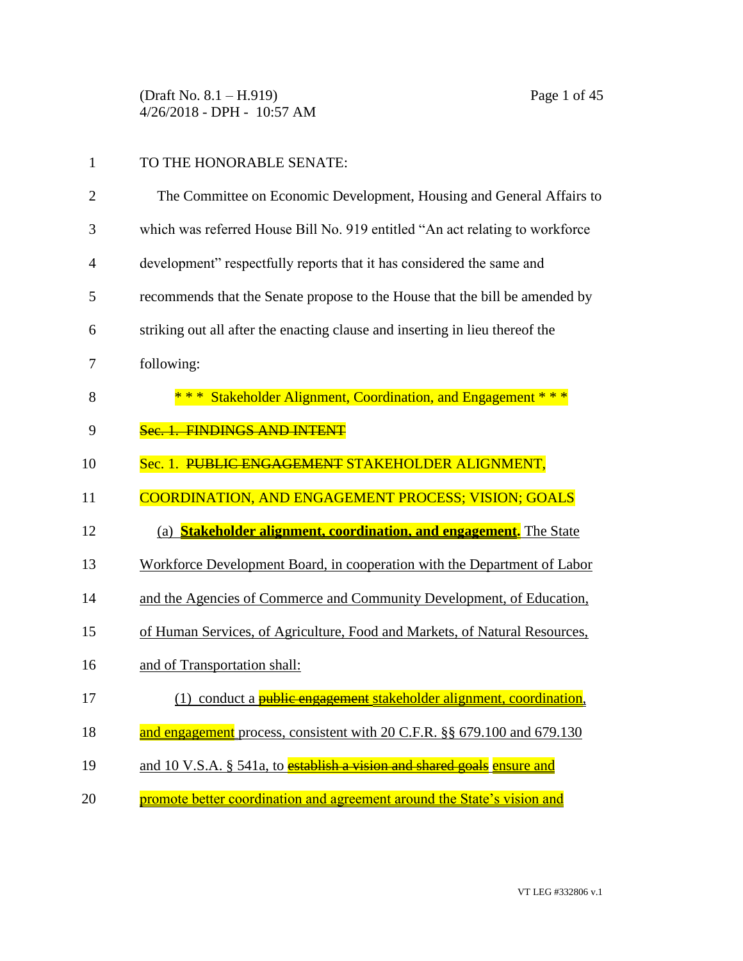(Draft No. 8.1 – H.919) Page 1 of 45 4/26/2018 - DPH - 10:57 AM

# 1 TO THE HONORABLE SENATE:

| $\overline{2}$ | The Committee on Economic Development, Housing and General Affairs to         |
|----------------|-------------------------------------------------------------------------------|
| 3              | which was referred House Bill No. 919 entitled "An act relating to workforce" |
| 4              | development" respectfully reports that it has considered the same and         |
| 5              | recommends that the Senate propose to the House that the bill be amended by   |
| 6              | striking out all after the enacting clause and inserting in lieu thereof the  |
| 7              | following:                                                                    |
| 8              | *** Stakeholder Alignment, Coordination, and Engagement ***                   |
| 9              | Sec. 1. FINDINGS AND INTENT                                                   |
| 10             | Sec. 1. PUBLIC ENGAGEMENT STAKEHOLDER ALIGNMENT,                              |
| 11             | <b>COORDINATION, AND ENGAGEMENT PROCESS; VISION; GOALS</b>                    |
| 12             | (a) <b>Stakeholder alignment, coordination, and engagement</b> . The State    |
| 13             | Workforce Development Board, in cooperation with the Department of Labor      |
| 14             | and the Agencies of Commerce and Community Development, of Education,         |
| 15             | of Human Services, of Agriculture, Food and Markets, of Natural Resources,    |
| 16             | and of Transportation shall:                                                  |
| 17             | (1) conduct a <i>public</i> engagement stakeholder alignment, coordination,   |
| 18             | and engagement process, consistent with 20 C.F.R. §§ 679.100 and 679.130      |
| 19             | and 10 V.S.A. § 541a, to establish a vision and shared goals ensure and       |
| 20             | promote better coordination and agreement around the State's vision and       |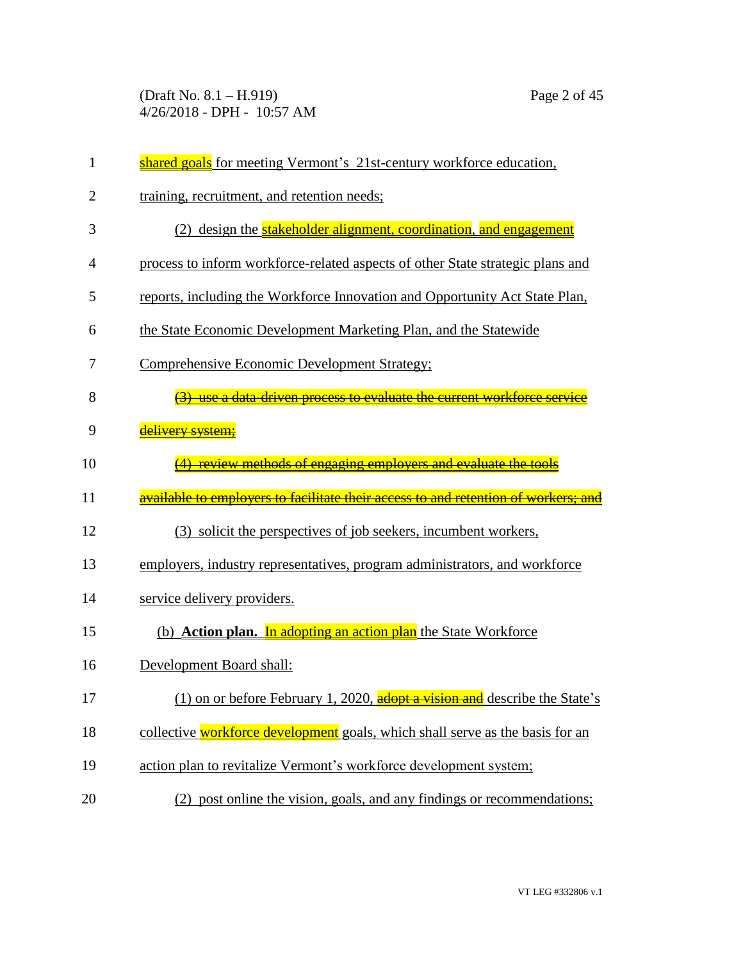(Draft No. 8.1 – H.919) Page 2 of 45 4/26/2018 - DPH - 10:57 AM

| $\mathbf{1}$   | shared goals for meeting Vermont's 21st-century workforce education,                       |
|----------------|--------------------------------------------------------------------------------------------|
| $\overline{2}$ | training, recruitment, and retention needs;                                                |
| 3              | (2) design the <b>stakeholder alignment</b> , coordination, and engagement                 |
| 4              | process to inform workforce-related aspects of other State strategic plans and             |
| 5              | reports, including the Workforce Innovation and Opportunity Act State Plan,                |
| 6              | the State Economic Development Marketing Plan, and the Statewide                           |
| 7              | Comprehensive Economic Development Strategy;                                               |
| 8              | (3) use a data-driven process to evaluate the current workforce service                    |
| 9              | delivery system;                                                                           |
| 10             | review methods of engaging employers and evaluate the tools                                |
| 11             | <u>available to emplovers to facilitate their access to and retention of workers; and </u> |
| 12             | (3) solicit the perspectives of job seekers, incumbent workers,                            |
| 13             | employers, industry representatives, program administrators, and workforce                 |
| 14             | service delivery providers.                                                                |
| 15             | (b) <b>Action plan.</b> In adopting an action plan the State Workforce                     |
| 16             | Development Board shall:                                                                   |
| 17             | (1) on or before February 1, 2020, adopt a vision and describe the State's                 |
|                |                                                                                            |
| 18             | collective workforce development goals, which shall serve as the basis for an              |
| 19             | action plan to revitalize Vermont's workforce development system;                          |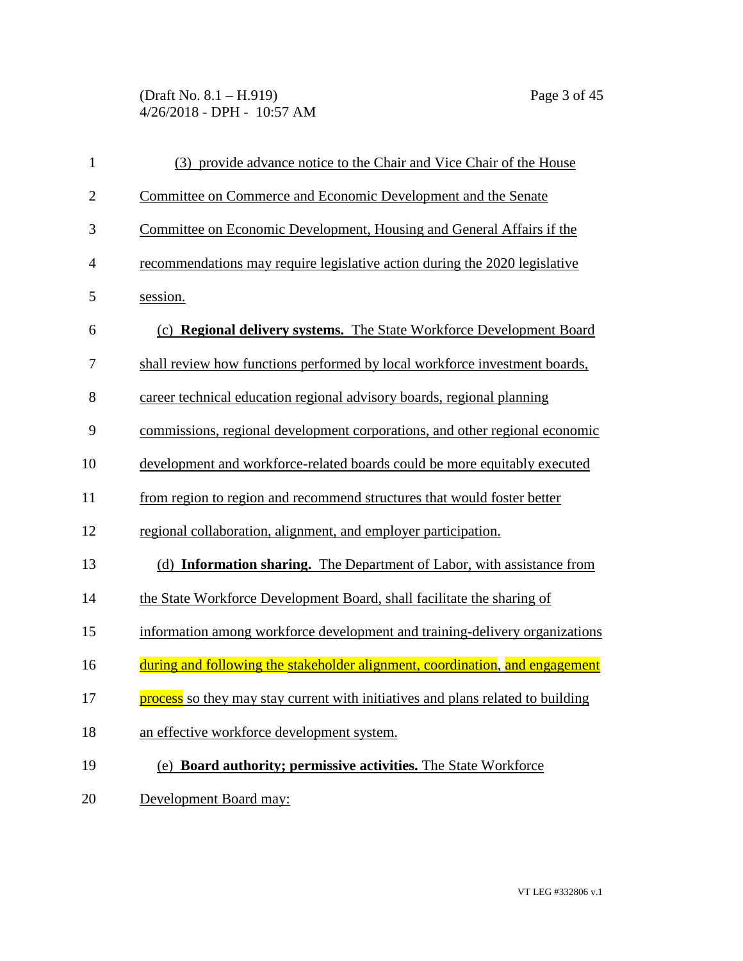(Draft No. 8.1 – H.919) Page 3 of 45 4/26/2018 - DPH - 10:57 AM

| $\mathbf{1}$   | (3) provide advance notice to the Chair and Vice Chair of the House             |
|----------------|---------------------------------------------------------------------------------|
| $\overline{2}$ | Committee on Commerce and Economic Development and the Senate                   |
| 3              | Committee on Economic Development, Housing and General Affairs if the           |
| 4              | recommendations may require legislative action during the 2020 legislative      |
| 5              | session.                                                                        |
| 6              | (c) <b>Regional delivery systems.</b> The State Workforce Development Board     |
| 7              | shall review how functions performed by local workforce investment boards,      |
| 8              | career technical education regional advisory boards, regional planning          |
| 9              | commissions, regional development corporations, and other regional economic     |
| 10             | development and workforce-related boards could be more equitably executed       |
| 11             | from region to region and recommend structures that would foster better         |
| 12             | regional collaboration, alignment, and employer participation.                  |
| 13             | (d) Information sharing. The Department of Labor, with assistance from          |
| 14             | the State Workforce Development Board, shall facilitate the sharing of          |
| 15             | information among workforce development and training-delivery organizations     |
| 16             | during and following the stakeholder alignment, coordination, and engagement    |
| 17             | process so they may stay current with initiatives and plans related to building |
| 18             | an effective workforce development system.                                      |
| 19             | (e) Board authority; permissive activities. The State Workforce                 |
| 20             | Development Board may:                                                          |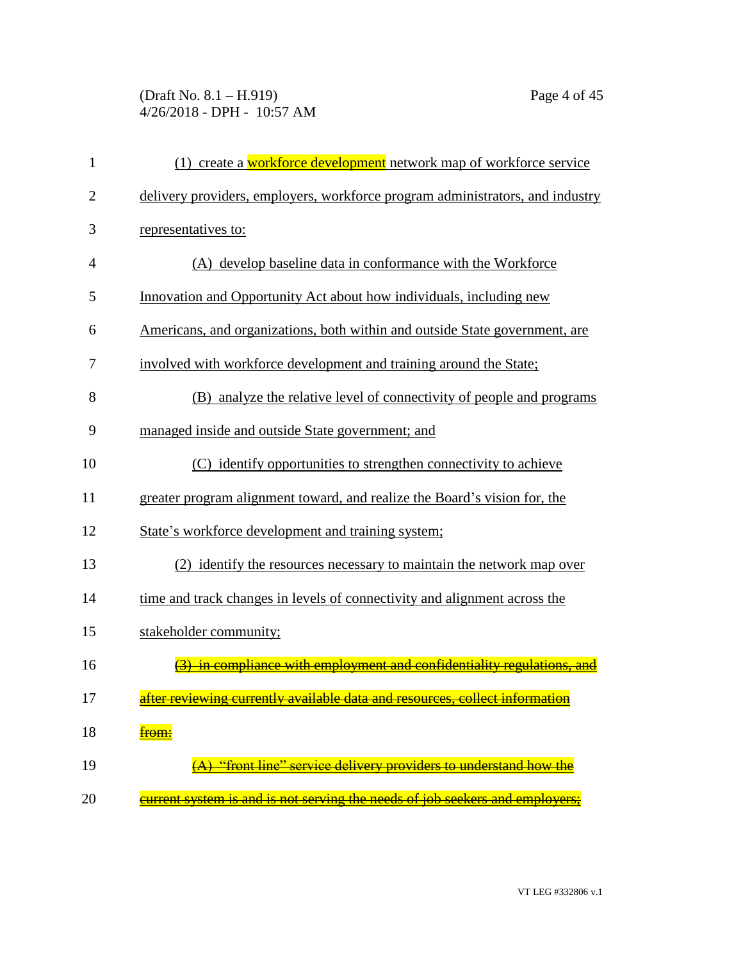## (Draft No. 8.1 – H.919) Page 4 of 45 4/26/2018 - DPH - 10:57 AM

| 1              | (1) create a workforce development network map of workforce service           |
|----------------|-------------------------------------------------------------------------------|
| $\overline{2}$ | delivery providers, employers, workforce program administrators, and industry |
| 3              | representatives to:                                                           |
| $\overline{4}$ | (A) develop baseline data in conformance with the Workforce                   |
| 5              | Innovation and Opportunity Act about how individuals, including new           |
| 6              | Americans, and organizations, both within and outside State government, are   |
| 7              | involved with workforce development and training around the State;            |
| 8              | (B) analyze the relative level of connectivity of people and programs         |
| 9              | managed inside and outside State government; and                              |
| 10             | (C) identify opportunities to strengthen connectivity to achieve              |
| 11             | greater program alignment toward, and realize the Board's vision for, the     |
| 12             | State's workforce development and training system;                            |
| 13             | (2) identify the resources necessary to maintain the network map over         |
| 14             | time and track changes in levels of connectivity and alignment across the     |
| 15             | stakeholder community;                                                        |
| 16             | in compliance with employment and confidentiality regulations.                |
| 17             | after reviewing currently available data and resources, collect information   |
| 18             | <del>from:</del>                                                              |
| 19             | "front line" service delivery providers to understand how the                 |
| 20             | current system is and is not serving the needs of job seekers and employers:  |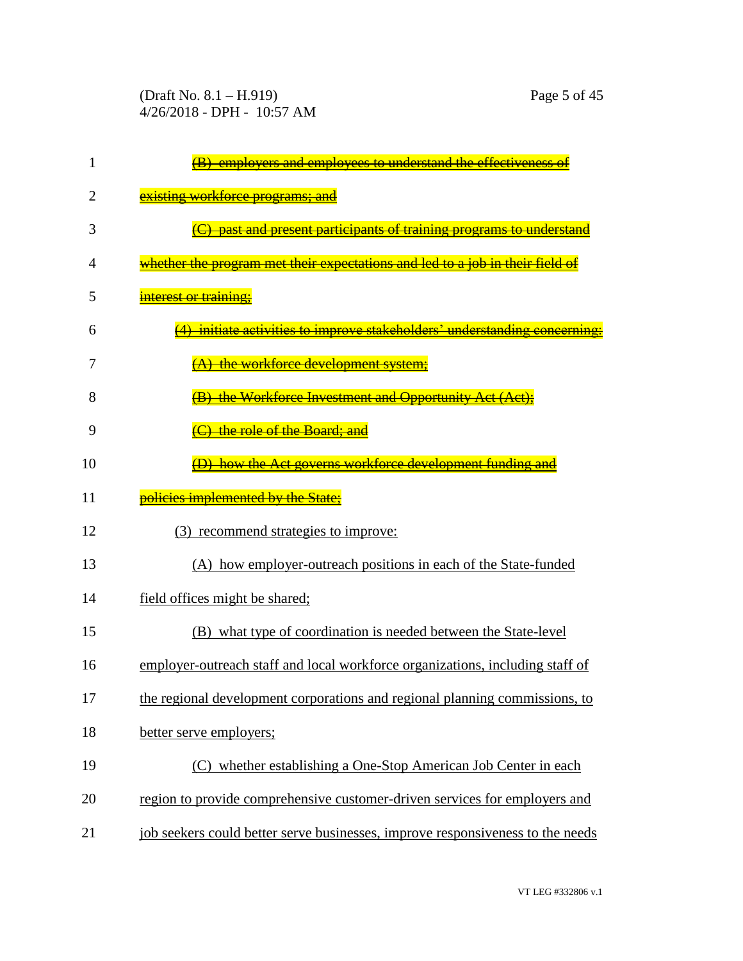(Draft No. 8.1 – H.919) Page 5 of 45 4/26/2018 - DPH - 10:57 AM

| 1  | employers and employees to understand the effectiveness                        |
|----|--------------------------------------------------------------------------------|
| 2  | existing workforce programs; and                                               |
| 3  | past and present participants of training programs to understand               |
| 4  | whether the program met their expectations and led to a job in their field of  |
| 5  | <del>interest or training;</del>                                               |
| 6  | initiate activities to improve stakeholders' understanding concern             |
| 7  | A) the workforce development system;                                           |
| 8  | (B) the Workforce Investment and Opportunity Act (Act):                        |
| 9  | the role of the Board; and                                                     |
| 10 | how the Act governs workforce development funding and                          |
| 11 | policies implemented by the State;                                             |
| 12 | (3) recommend strategies to improve:                                           |
| 13 | (A) how employer-outreach positions in each of the State-funded                |
| 14 | field offices might be shared;                                                 |
| 15 | (B) what type of coordination is needed between the State-level                |
| 16 | employer-outreach staff and local workforce organizations, including staff of  |
| 17 | the regional development corporations and regional planning commissions, to    |
| 18 | better serve employers;                                                        |
| 19 | (C) whether establishing a One-Stop American Job Center in each                |
| 20 | region to provide comprehensive customer-driven services for employers and     |
| 21 | job seekers could better serve businesses, improve responsiveness to the needs |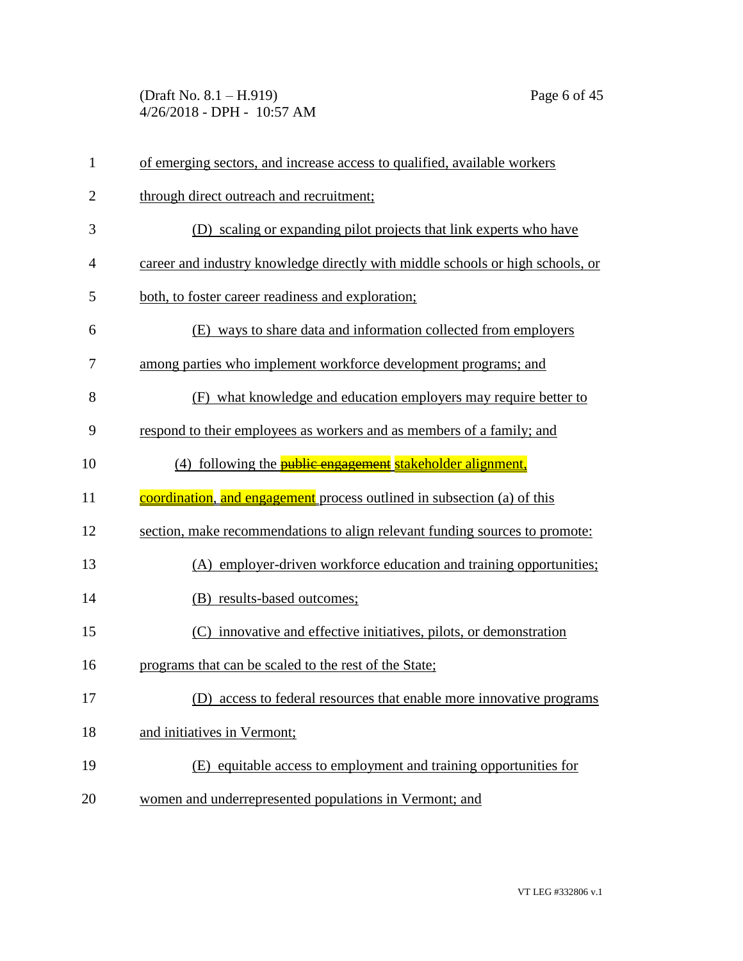(Draft No. 8.1 – H.919) Page 6 of 45 4/26/2018 - DPH - 10:57 AM

| $\mathbf{1}$   | of emerging sectors, and increase access to qualified, available workers       |
|----------------|--------------------------------------------------------------------------------|
| $\overline{2}$ | through direct outreach and recruitment;                                       |
| 3              | (D) scaling or expanding pilot projects that link experts who have             |
| 4              | career and industry knowledge directly with middle schools or high schools, or |
| 5              | both, to foster career readiness and exploration;                              |
| 6              | (E) ways to share data and information collected from employers                |
| 7              | among parties who implement workforce development programs; and                |
| 8              | (F) what knowledge and education employers may require better to               |
| 9              | respond to their employees as workers and as members of a family; and          |
| 10             | (4) following the <b>public engagement</b> stakeholder alignment,              |
| 11             | coordination, and engagement process outlined in subsection (a) of this        |
| 12             | section, make recommendations to align relevant funding sources to promote:    |
| 13             | (A) employer-driven workforce education and training opportunities;            |
| 14             | (B) results-based outcomes;                                                    |
| 15             | (C) innovative and effective initiatives, pilots, or demonstration             |
| 16             | programs that can be scaled to the rest of the State;                          |
| 17             | (D)<br>access to federal resources that enable more innovative programs        |
| 18             | and initiatives in Vermont;                                                    |
| 19             | (E) equitable access to employment and training opportunities for              |
| 20             | women and underrepresented populations in Vermont; and                         |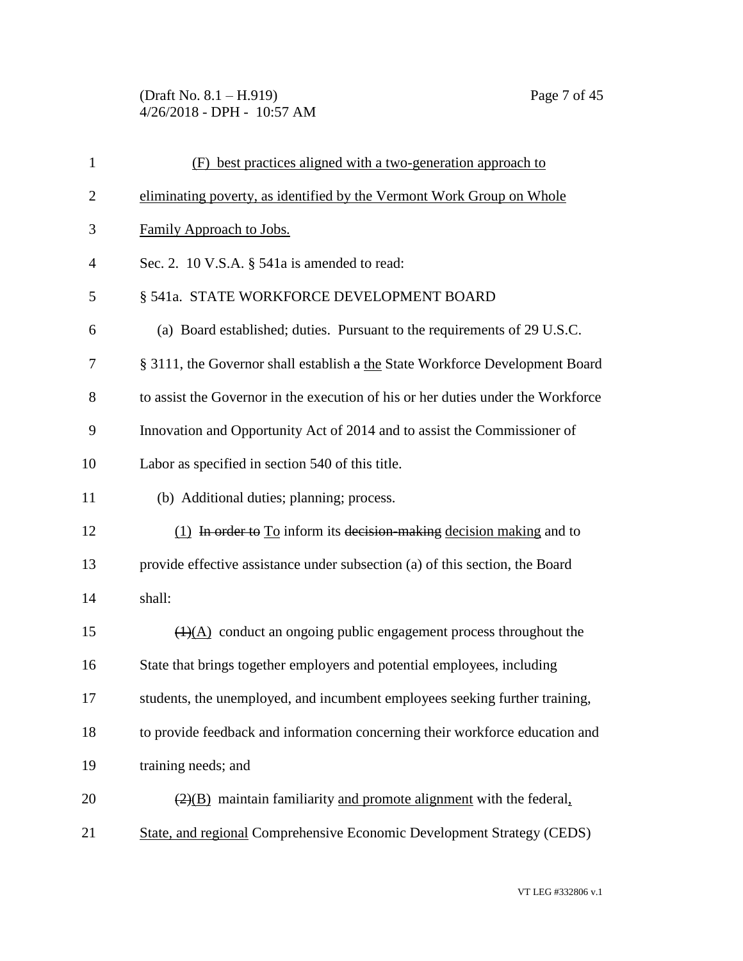(Draft No. 8.1 – H.919) Page 7 of 45 4/26/2018 - DPH - 10:57 AM

| $\mathbf{1}$   | (F) best practices aligned with a two-generation approach to                            |
|----------------|-----------------------------------------------------------------------------------------|
| $\overline{2}$ | eliminating poverty, as identified by the Vermont Work Group on Whole                   |
| 3              | Family Approach to Jobs.                                                                |
| $\overline{4}$ | Sec. 2. 10 V.S.A. § 541a is amended to read:                                            |
| 5              | § 541a. STATE WORKFORCE DEVELOPMENT BOARD                                               |
| 6              | (a) Board established; duties. Pursuant to the requirements of 29 U.S.C.                |
| 7              | § 3111, the Governor shall establish a the State Workforce Development Board            |
| 8              | to assist the Governor in the execution of his or her duties under the Workforce        |
| 9              | Innovation and Opportunity Act of 2014 and to assist the Commissioner of                |
| 10             | Labor as specified in section 540 of this title.                                        |
| 11             | (b) Additional duties; planning; process.                                               |
| 12             | $(1)$ In order to To inform its decision-making decision making and to                  |
| 13             | provide effective assistance under subsection (a) of this section, the Board            |
| 14             | shall:                                                                                  |
| 15             | $(4)$ conduct an ongoing public engagement process throughout the                       |
| 16             | State that brings together employers and potential employees, including                 |
| 17             | students, the unemployed, and incumbent employees seeking further training,             |
| 18             | to provide feedback and information concerning their workforce education and            |
| 19             | training needs; and                                                                     |
| 20             | $\left(\frac{2}{B}\right)$ maintain familiarity and promote alignment with the federal. |
| 21             | State, and regional Comprehensive Economic Development Strategy (CEDS)                  |

VT LEG #332806 v.1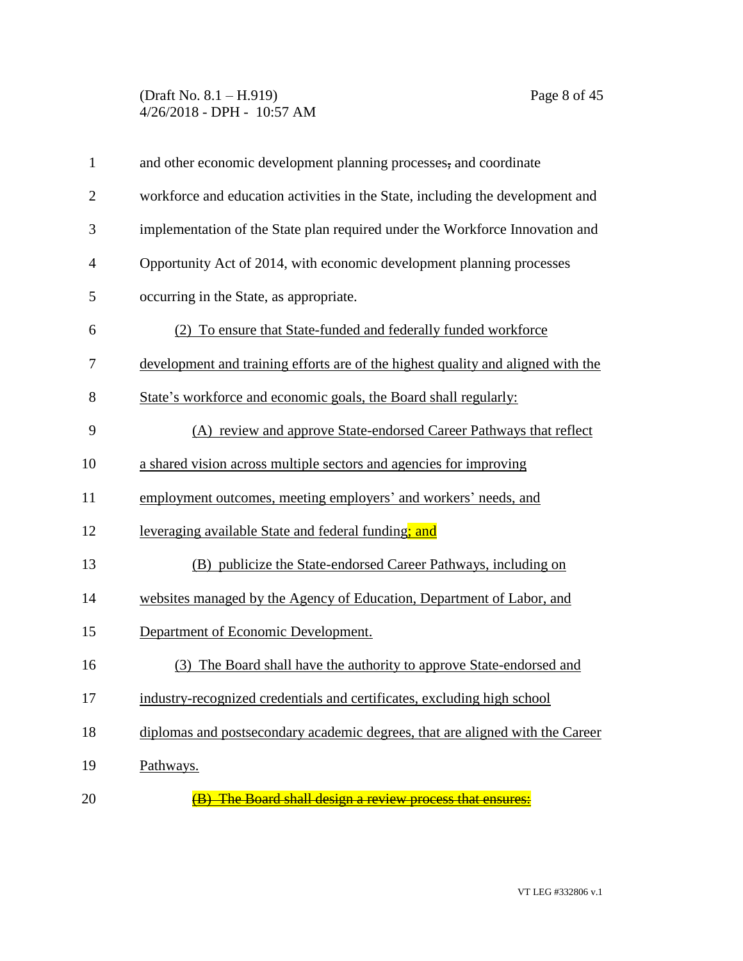#### (Draft No. 8.1 – H.919) Page 8 of 45 4/26/2018 - DPH - 10:57 AM

| $\mathbf{1}$   | and other economic development planning processes, and coordinate                |
|----------------|----------------------------------------------------------------------------------|
| $\overline{2}$ | workforce and education activities in the State, including the development and   |
| 3              | implementation of the State plan required under the Workforce Innovation and     |
| $\overline{4}$ | Opportunity Act of 2014, with economic development planning processes            |
| 5              | occurring in the State, as appropriate.                                          |
| 6              | (2) To ensure that State-funded and federally funded workforce                   |
| 7              | development and training efforts are of the highest quality and aligned with the |
| 8              | State's workforce and economic goals, the Board shall regularly:                 |
| 9              | (A) review and approve State-endorsed Career Pathways that reflect               |
| 10             | a shared vision across multiple sectors and agencies for improving               |
| 11             | employment outcomes, meeting employers' and workers' needs, and                  |
| 12             | leveraging available State and federal funding; and                              |
| 13             | (B) publicize the State-endorsed Career Pathways, including on                   |
| 14             | websites managed by the Agency of Education, Department of Labor, and            |
| 15             | Department of Economic Development.                                              |
| 16             | (3) The Board shall have the authority to approve State-endorsed and             |
| 17             | industry-recognized credentials and certificates, excluding high school          |
| 18             | diplomas and postsecondary academic degrees, that are aligned with the Career    |
| 19             | Pathways.                                                                        |
| 20             | <b>The Board shall design a review process that ensures:</b>                     |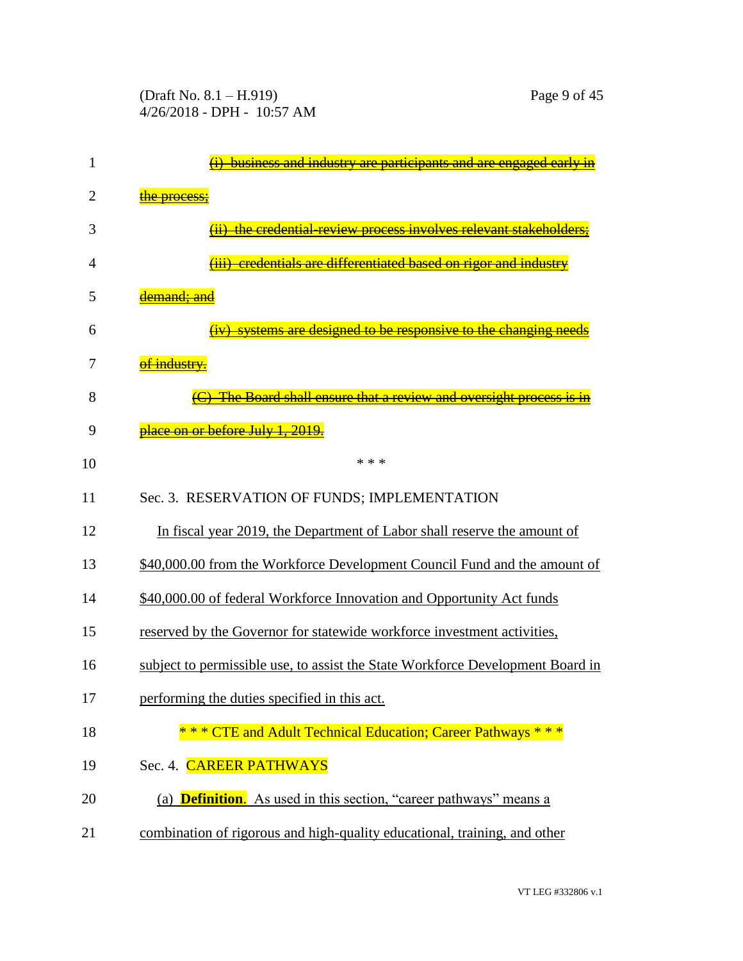| 1  | business and industry are participants and are engaged early in                |
|----|--------------------------------------------------------------------------------|
| 2  | <del>the process</del>                                                         |
| 3  | the credential-review process involves relevant stakeholders                   |
| 4  | eredentials are differentiated based on rigor and industry                     |
| 5  | <del>emand: anc</del>                                                          |
| 6  | systems are designed to be responsive to the changing ne                       |
| 7  | <del>of industry.</del>                                                        |
| 8  | The Board shall ensure that a review and oversight process                     |
| 9  | <mark>place on or before July 1, 2019</mark>                                   |
| 10 | * * *                                                                          |
| 11 | Sec. 3. RESERVATION OF FUNDS; IMPLEMENTATION                                   |
| 12 | In fiscal year 2019, the Department of Labor shall reserve the amount of       |
| 13 | \$40,000.00 from the Workforce Development Council Fund and the amount of      |
| 14 | \$40,000.00 of federal Workforce Innovation and Opportunity Act funds          |
| 15 | reserved by the Governor for statewide workforce investment activities,        |
| 16 | subject to permissible use, to assist the State Workforce Development Board in |
| 17 | performing the duties specified in this act.                                   |
| 18 | ** CTE and Adult Technical Education; Career Pathways ***                      |
| 19 | Sec. 4. CAREER PATHWAYS                                                        |
| 20 | (a) <b>Definition.</b> As used in this section, "career pathways" means a      |
| 21 | combination of rigorous and high-quality educational, training, and other      |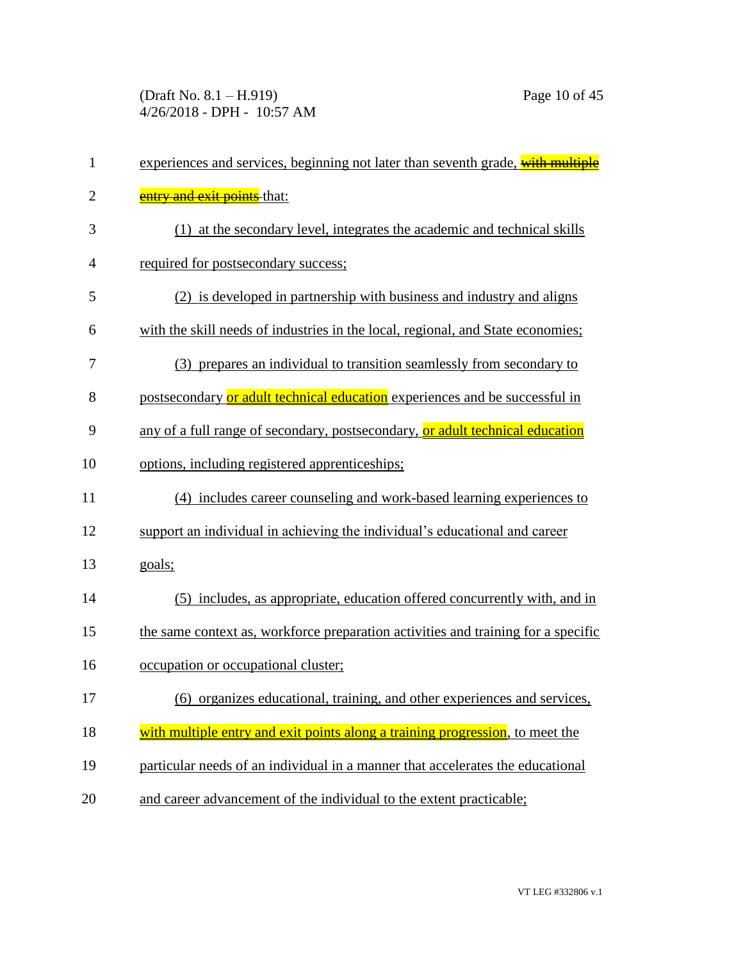(Draft No. 8.1 – H.919) Page 10 of 45 4/26/2018 - DPH - 10:57 AM

| $\mathbf{1}$   | experiences and services, beginning not later than seventh grade, with multiple   |
|----------------|-----------------------------------------------------------------------------------|
| $\overline{2}$ | <b>entry and exit points</b> that:                                                |
| 3              | (1) at the secondary level, integrates the academic and technical skills          |
| $\overline{4}$ | required for postsecondary success;                                               |
| 5              | (2) is developed in partnership with business and industry and aligns             |
| 6              | with the skill needs of industries in the local, regional, and State economies;   |
| 7              | (3) prepares an individual to transition seamlessly from secondary to             |
| 8              | postsecondary or adult technical education experiences and be successful in       |
| 9              | any of a full range of secondary, postsecondary, or adult technical education     |
| 10             | options, including registered apprenticeships;                                    |
| 11             | (4) includes career counseling and work-based learning experiences to             |
| 12             | support an individual in achieving the individual's educational and career        |
| 13             | goals;                                                                            |
| 14             | (5) includes, as appropriate, education offered concurrently with, and in         |
| 15             | the same context as, workforce preparation activities and training for a specific |
| 16             | occupation or occupational cluster;                                               |
| 17             | (6) organizes educational, training, and other experiences and services,          |
| 18             | with multiple entry and exit points along a training progression, to meet the     |
| 19             | particular needs of an individual in a manner that accelerates the educational    |
| 20             | and career advancement of the individual to the extent practicable;               |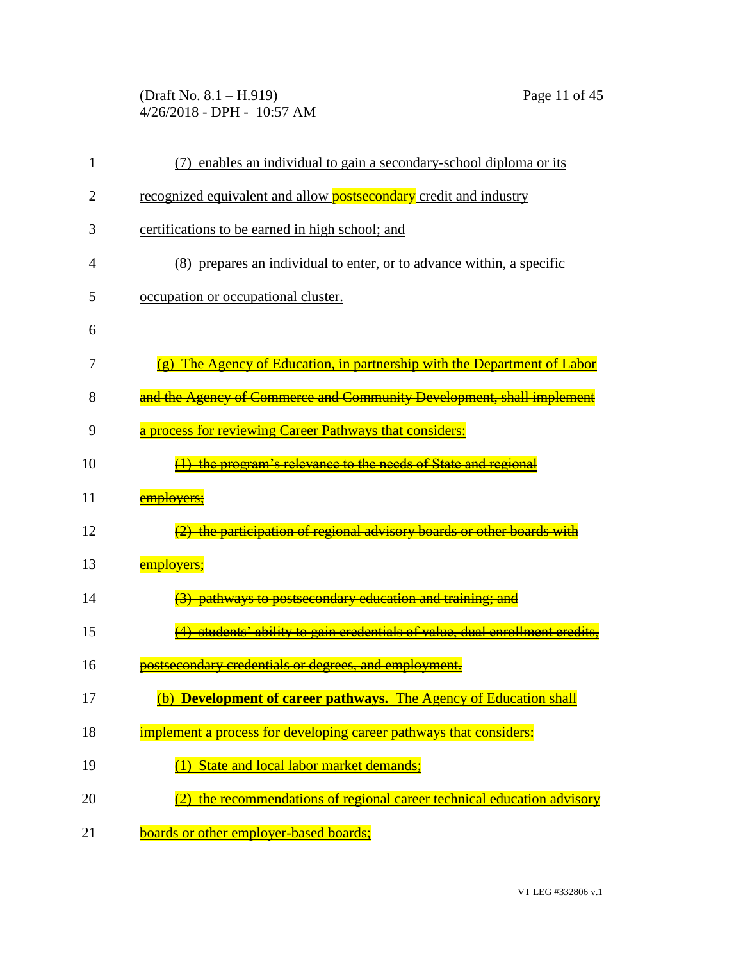(Draft No. 8.1 – H.919) Page 11 of 45 4/26/2018 - DPH - 10:57 AM

| 1  | (7) enables an individual to gain a secondary-school diploma or its         |
|----|-----------------------------------------------------------------------------|
| 2  | recognized equivalent and allow <b>postsecondary</b> credit and industry    |
| 3  | certifications to be earned in high school; and                             |
| 4  | (8) prepares an individual to enter, or to advance within, a specific       |
| 5  | occupation or occupational cluster.                                         |
| 6  |                                                                             |
| 7  | <b>The Agency of Education, in partnership with the Department of Labor</b> |
| 8  | and the Agency of Commerce and Community Development, shall implement       |
| 9  | a process for reviewing Career Pathways that considers:                     |
| 10 | the program's relevance to the needs of State and regional                  |
| 11 | emplovers;                                                                  |
| 12 | the participation of regional advisory boards or other boards wi            |
| 13 | <del>emplovers;</del>                                                       |
| 14 | pathways to postsecondary education and training;                           |
| 15 | students' ability to gain credentials of value, dual enrollment credits.    |
| 16 | postsecondary credentials or degrees, and employment.                       |
| 17 | (b) Development of career pathways. The Agency of Education shall           |
| 18 | implement a process for developing career pathways that considers:          |
| 19 | State and local labor market demands;                                       |
| 20 | (2) the recommendations of regional career technical education advisory     |
| 21 | boards or other employer-based boards;                                      |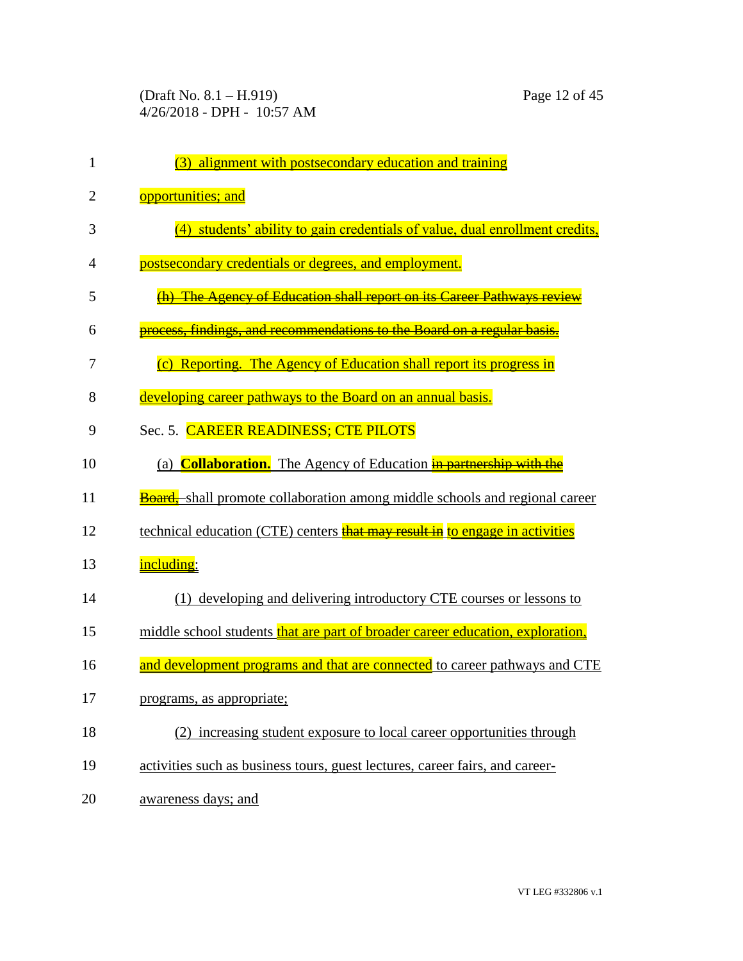(Draft No. 8.1 – H.919) Page 12 of 45 4/26/2018 - DPH - 10:57 AM

| 1              | (3) alignment with postsecondary education and training                            |
|----------------|------------------------------------------------------------------------------------|
| $\overline{2}$ | opportunities; and                                                                 |
| 3              | (4) students' ability to gain credentials of value, dual enrollment credits,       |
| 4              | postsecondary credentials or degrees, and employment.                              |
| 5              | <b>The Agency of Education shall report on its Career Pathways review</b>          |
| 6              | findings, and recommendations to the Board on a regular basis.                     |
| 7              | (c) Reporting. The Agency of Education shall report its progress in                |
| 8              | developing career pathways to the Board on an annual basis.                        |
| 9              | Sec. 5. CAREER READINESS; CTE PILOTS                                               |
| 10             | (a) <b>Collaboration.</b> The Agency of Education in partnership with the          |
| 11             | <b>Board,</b> shall promote collaboration among middle schools and regional career |
| 12             | technical education (CTE) centers that may result in to engage in activities       |
| 13             | including:                                                                         |
| 14             | (1) developing and delivering introductory CTE courses or lessons to               |
| 15             | middle school students that are part of broader career education, exploration,     |
| 16             | and development programs and that are connected to career pathways and CTE         |
| 17             | programs, as appropriate;                                                          |
| 18             | (2) increasing student exposure to local career opportunities through              |
| 19             | activities such as business tours, guest lectures, career fairs, and career-       |
| 20             | awareness days; and                                                                |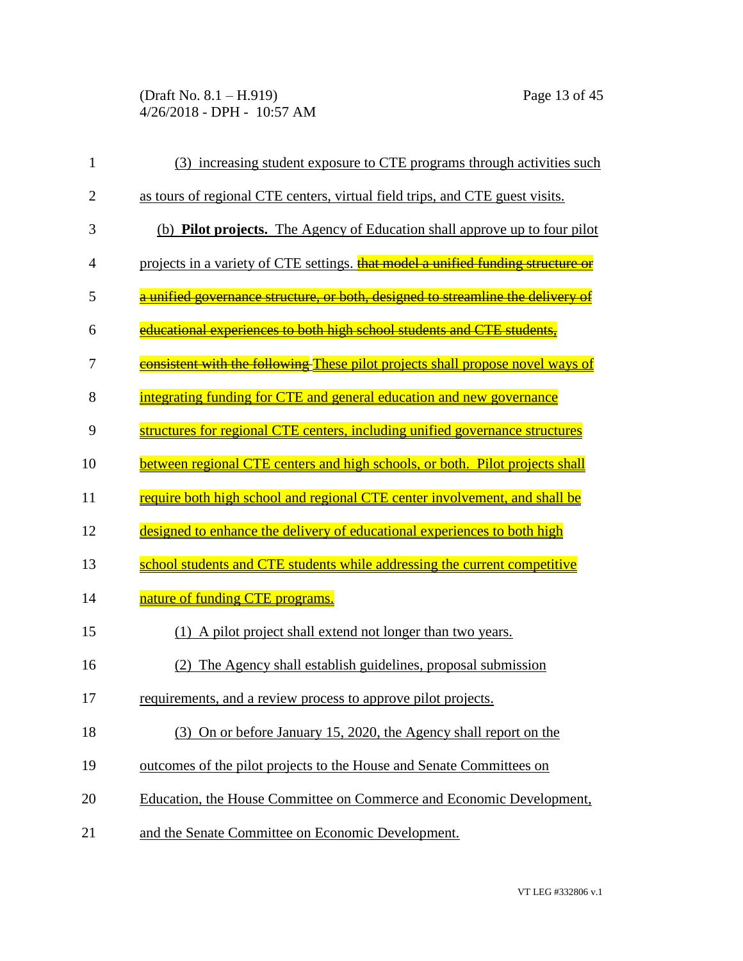(Draft No. 8.1 – H.919) Page 13 of 45 4/26/2018 - DPH - 10:57 AM

| $\mathbf{1}$   | (3) increasing student exposure to CTE programs through activities such           |
|----------------|-----------------------------------------------------------------------------------|
| $\overline{2}$ | as tours of regional CTE centers, virtual field trips, and CTE guest visits.      |
| 3              | (b) <b>Pilot projects.</b> The Agency of Education shall approve up to four pilot |
| $\overline{4}$ | projects in a variety of CTE settings. that model a unified funding structure or  |
| 5              | a unified governance structure, or both, designed to streamline the delivery of   |
| 6              | educational experiences to both high school students and CTE students.            |
| 7              | consistent with the following These pilot projects shall propose novel ways of    |
| 8              | integrating funding for CTE and general education and new governance              |
| 9              | structures for regional CTE centers, including unified governance structures      |
| 10             | between regional CTE centers and high schools, or both. Pilot projects shall      |
| 11             | require both high school and regional CTE center involvement, and shall be        |
| 12             | designed to enhance the delivery of educational experiences to both high          |
| 13             | school students and CTE students while addressing the current competitive         |
| 14             | nature of funding CTE programs.                                                   |
| 15             | (1) A pilot project shall extend not longer than two years.                       |
| 16             | The Agency shall establish guidelines, proposal submission<br>(2)                 |
| 17             | requirements, and a review process to approve pilot projects.                     |
| 18             | (3) On or before January 15, 2020, the Agency shall report on the                 |
| 19             | outcomes of the pilot projects to the House and Senate Committees on              |
| 20             | Education, the House Committee on Commerce and Economic Development,              |
| 21             | and the Senate Committee on Economic Development.                                 |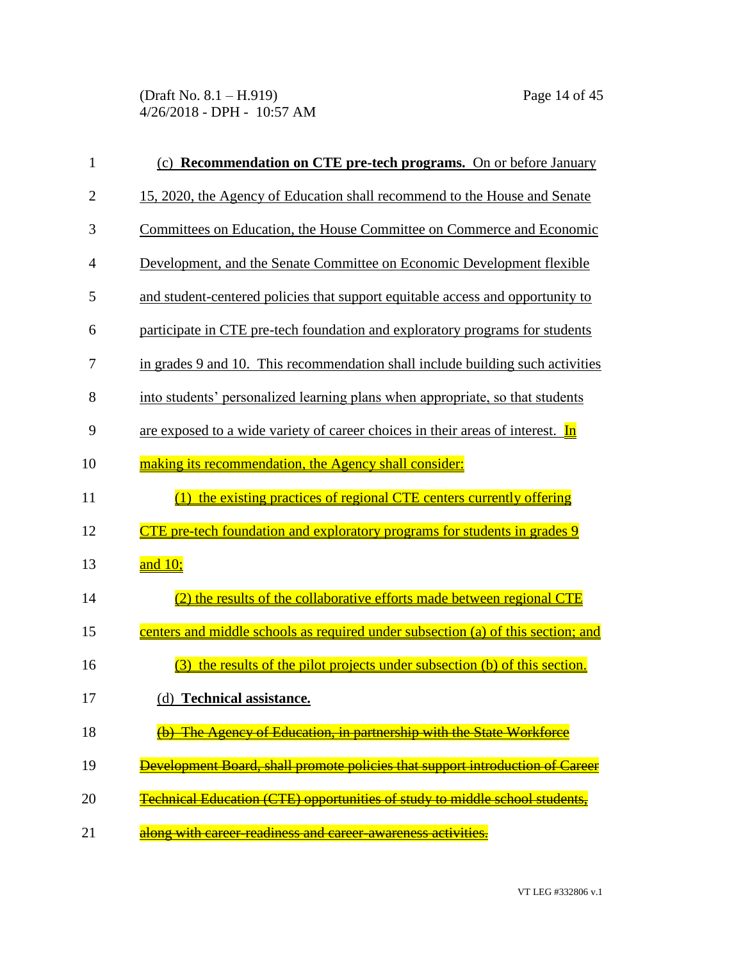(Draft No. 8.1 – H.919) Page 14 of 45 4/26/2018 - DPH - 10:57 AM

| $\mathbf{1}$   | (c) Recommendation on CTE pre-tech programs. On or before January                      |
|----------------|----------------------------------------------------------------------------------------|
| $\overline{c}$ | 15, 2020, the Agency of Education shall recommend to the House and Senate              |
| 3              | Committees on Education, the House Committee on Commerce and Economic                  |
| 4              | Development, and the Senate Committee on Economic Development flexible                 |
| 5              | and student-centered policies that support equitable access and opportunity to         |
| 6              | participate in CTE pre-tech foundation and exploratory programs for students           |
| 7              | in grades 9 and 10. This recommendation shall include building such activities         |
| 8              | into students' personalized learning plans when appropriate, so that students          |
| 9              | are exposed to a wide variety of career choices in their areas of interest. In         |
| 10             | making its recommendation, the Agency shall consider:                                  |
| 11             | (1) the existing practices of regional CTE centers currently offering                  |
| 12             | <u>CTE pre-tech foundation and exploratory programs for students in grades 9</u>       |
| 13             | and $10$ ;                                                                             |
| 14             | (2) the results of the collaborative efforts made between regional CTE                 |
| 15             | centers and middle schools as required under subsection (a) of this section; and       |
| 16             | the results of the pilot projects under subsection (b) of this section.<br>(3)         |
| 17             | (d) Technical assistance.                                                              |
| 18             | The Agency of Education, in partnership with the State Workforce                       |
| 19             | Development Board, shall promote policies that support introduction of Career          |
| 20             | <del>Technical Education (CTE) opportunities of study to middle school students.</del> |
| 21             | along with career-readiness and career-awareness activities.                           |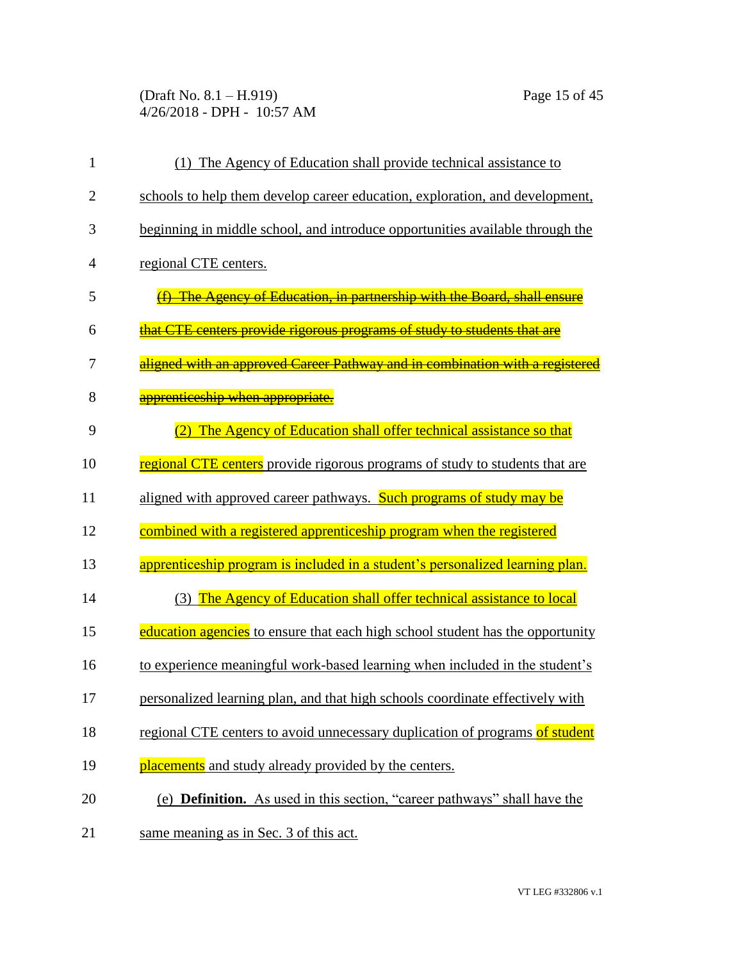(Draft No. 8.1 – H.919) Page 15 of 45 4/26/2018 - DPH - 10:57 AM

| 1              | (1) The Agency of Education shall provide technical assistance to                |
|----------------|----------------------------------------------------------------------------------|
| $\overline{2}$ | schools to help them develop career education, exploration, and development,     |
| 3              | beginning in middle school, and introduce opportunities available through the    |
| 4              | regional CTE centers.                                                            |
| 5              | (f) The Agency of Education, in partnership with the Board, shall ensure         |
| 6              | that CTE centers provide rigorous programs of study to students that are         |
| 7              | aligned with an approved Career Pathway and in combination with a registered     |
| 8              | apprenticeship when appropriate.                                                 |
| 9              | The Agency of Education shall offer technical assistance so that<br>(2)          |
| 10             | regional CTE centers provide rigorous programs of study to students that are     |
| 11             | aligned with approved career pathways. Such programs of study may be             |
| 12             | combined with a registered apprenticeship program when the registered            |
| 13             | apprenticeship program is included in a student's personalized learning plan.    |
| 14             | The Agency of Education shall offer technical assistance to local<br>(3)         |
| 15             | education agencies to ensure that each high school student has the opportunity   |
| 16             | to experience meaningful work-based learning when included in the student's      |
| 17             | personalized learning plan, and that high schools coordinate effectively with    |
| 18             | regional CTE centers to avoid unnecessary duplication of programs of student     |
| 19             | placements and study already provided by the centers.                            |
| 20             | (e) <b>Definition.</b> As used in this section, "career pathways" shall have the |
| 21             | same meaning as in Sec. 3 of this act.                                           |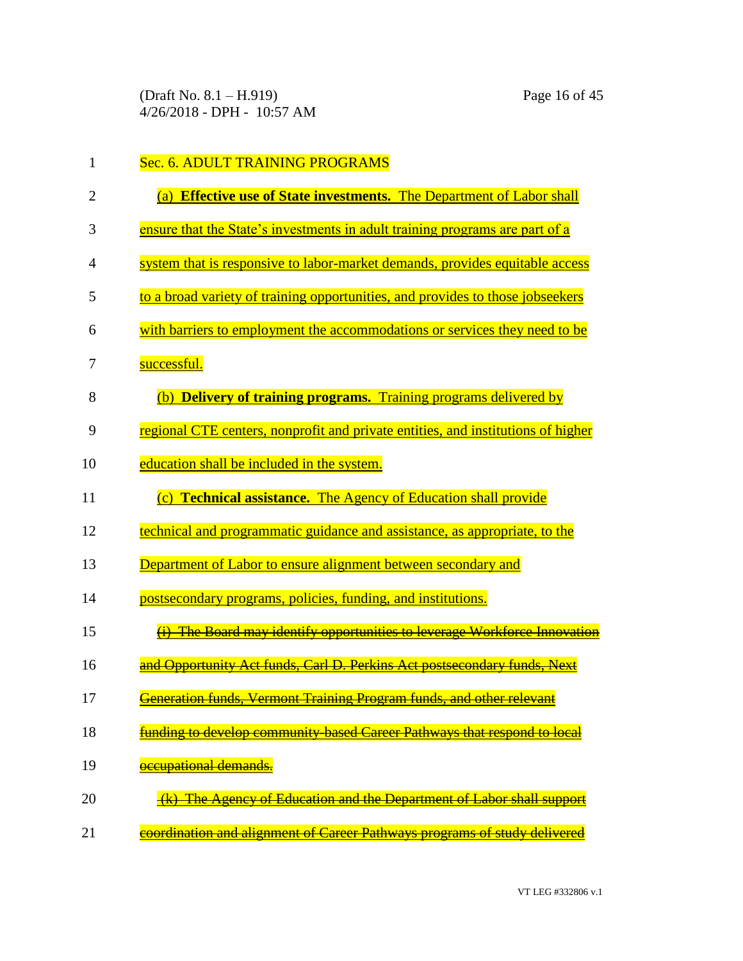(Draft No. 8.1 – H.919) Page 16 of 45 4/26/2018 - DPH - 10:57 AM

| 1              | Sec. 6. ADULT TRAINING PROGRAMS                                                                       |
|----------------|-------------------------------------------------------------------------------------------------------|
| $\overline{2}$ | (a) Effective use of State investments. The Department of Labor shall                                 |
| 3              | ensure that the State's investments in adult training programs are part of a                          |
| 4              | system that is responsive to labor-market demands, provides equitable access                          |
| 5              | to a broad variety of training opportunities, and provides to those jobseekers                        |
| 6              | with barriers to employment the accommodations or services they need to be                            |
| 7              | successful.                                                                                           |
| 8              | <b>Delivery of training programs.</b> Training programs delivered by<br>(b)                           |
| 9              | regional CTE centers, nonprofit and private entities, and institutions of higher                      |
| 10             | education shall be included in the system.                                                            |
| 11             | <b>Technical assistance.</b> The Agency of Education shall provide<br>$\overline{c}$                  |
| 12             | technical and programmatic guidance and assistance, as appropriate, to the                            |
| 13             | Department of Labor to ensure alignment between secondary and                                         |
| 14             | postsecondary programs, policies, funding, and institutions.                                          |
| 15             | The Board may identify opportunities to leverage Workforce Innovation                                 |
| 16             | and Opportunity Act funds, Carl D. Perkins Act postsecondary funds, Next                              |
| 17             | <del>Vermont Training Program funds, and other relevant</del><br><b>Security</b><br>Generation funds, |
| 18             | funding to develop community-based Career Pathways that respond to local                              |
| 19             | occupational demands.                                                                                 |
| 20             | (k) The Agency of Education and the Department of Labor shall support                                 |
| 21             | coordination and alignment of Career Pathways programs of study delivered                             |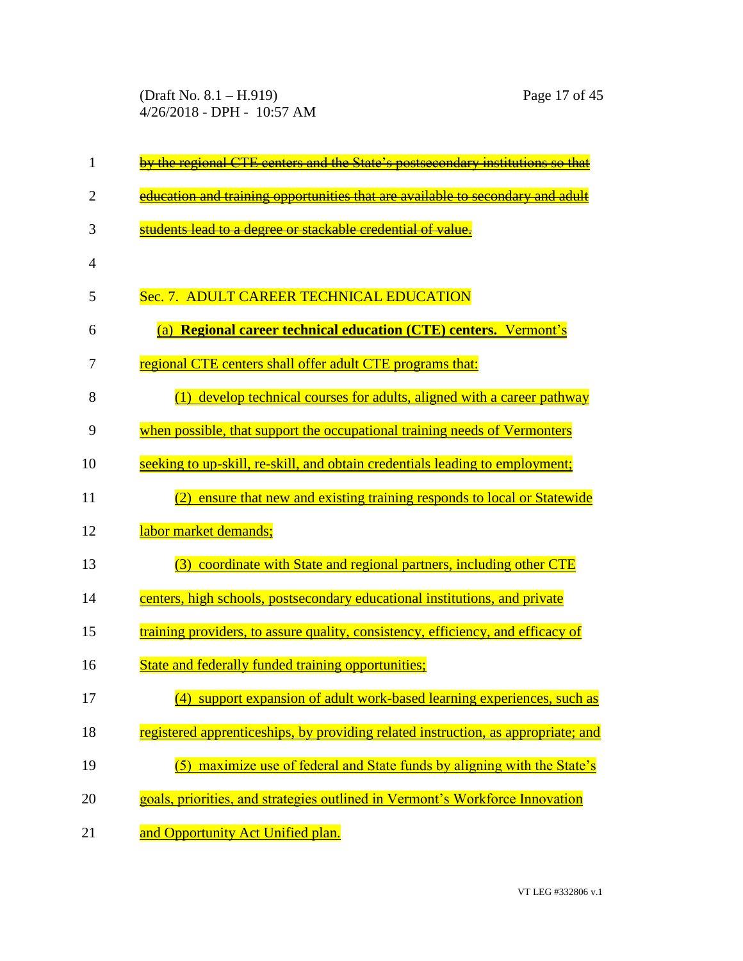(Draft No. 8.1 – H.919) Page 17 of 45 4/26/2018 - DPH - 10:57 AM

| 1              | by the regional CTE centers and the State's postsecondary institutions so that    |
|----------------|-----------------------------------------------------------------------------------|
| $\overline{2}$ | education and training opportunities that are available to secondary and adult    |
| 3              | students lead to a degree or stackable credential of value.                       |
| $\overline{4}$ |                                                                                   |
| 5              | Sec. 7. ADULT CAREER TECHNICAL EDUCATION                                          |
| 6              | (a) Regional career technical education (CTE) centers. Vermont's                  |
| 7              | regional CTE centers shall offer adult CTE programs that:                         |
| 8              | (1) develop technical courses for adults, aligned with a career pathway           |
| 9              | when possible, that support the occupational training needs of Vermonters         |
| 10             | seeking to up-skill, re-skill, and obtain credentials leading to employment;      |
| 11             | ensure that new and existing training responds to local or Statewide<br>(2)       |
| 12             | labor market demands;                                                             |
| 13             | coordinate with State and regional partners, including other CTE<br>(3)           |
| 14             | centers, high schools, postsecondary educational institutions, and private        |
| 15             | training providers, to assure quality, consistency, efficiency, and efficacy of   |
| 16             | State and federally funded training opportunities;                                |
| 17             | (4) support expansion of adult work-based learning experiences, such as           |
| 18             | registered apprenticeships, by providing related instruction, as appropriate; and |
| 19             | maximize use of federal and State funds by aligning with the State's              |
| 20             | goals, priorities, and strategies outlined in Vermont's Workforce Innovation      |
| 21             | and Opportunity Act Unified plan.                                                 |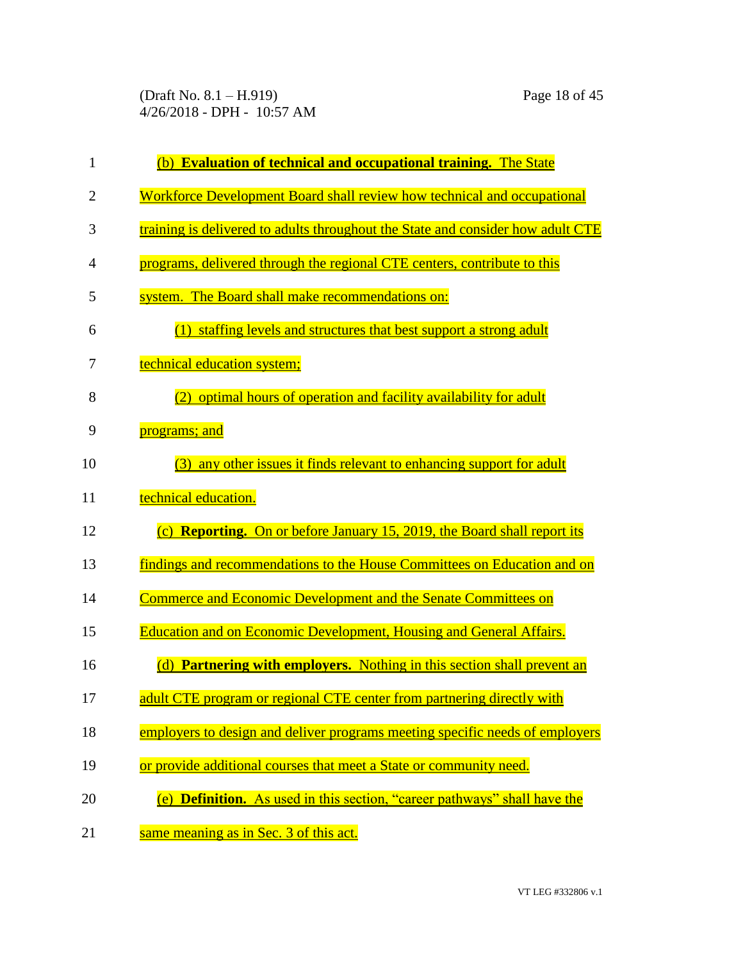(Draft No. 8.1 – H.919) Page 18 of 45 4/26/2018 - DPH - 10:57 AM

| $\mathbf{1}$   | (b) Evaluation of technical and occupational training. The State                  |
|----------------|-----------------------------------------------------------------------------------|
| $\overline{2}$ | Workforce Development Board shall review how technical and occupational           |
| 3              | training is delivered to adults throughout the State and consider how adult CTE   |
| 4              | programs, delivered through the regional CTE centers, contribute to this          |
| 5              | system. The Board shall make recommendations on:                                  |
| 6              | (1) staffing levels and structures that best support a strong adult               |
| 7              | technical education system;                                                       |
| 8              | (2) optimal hours of operation and facility availability for adult                |
| 9              | programs; and                                                                     |
| 10             | (3) any other issues it finds relevant to enhancing support for adult             |
| 11             | technical education.                                                              |
| 12             | (c) <b>Reporting.</b> On or before January 15, 2019, the Board shall report its   |
| 13             | findings and recommendations to the House Committees on Education and on          |
| 14             | <b>Commerce and Economic Development and the Senate Committees on</b>             |
| 15             | <b>Education and on Economic Development, Housing and General Affairs.</b>        |
| 16             | <b>Partnering with employers.</b> Nothing in this section shall prevent an<br>(d) |
| 17             | adult CTE program or regional CTE center from partnering directly with            |
| 18             | employers to design and deliver programs meeting specific needs of employers      |
| 19             | or provide additional courses that meet a State or community need.                |
| 20             | (e) <b>Definition.</b> As used in this section, "career pathways" shall have the  |
| 21             | same meaning as in Sec. 3 of this act.                                            |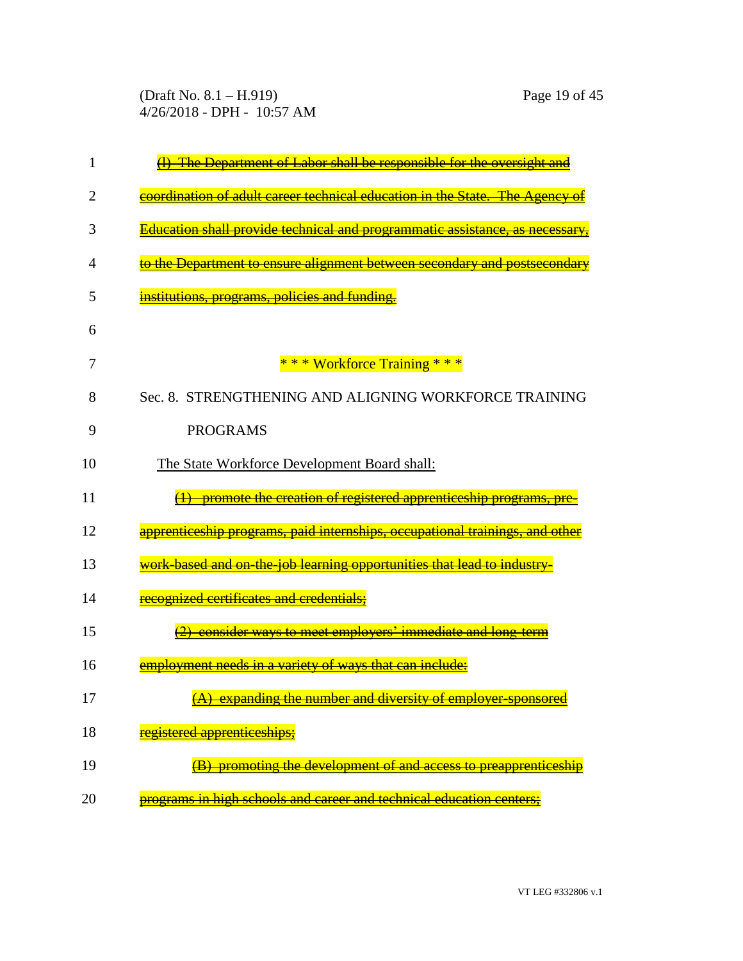(Draft No. 8.1 – H.919) Page 19 of 45 4/26/2018 - DPH - 10:57 AM

| 1  | The Department of Labor shall be responsible for the oversight and                         |
|----|--------------------------------------------------------------------------------------------|
| 2  | coordination of adult career technical education in the State. The Agency                  |
| 3  | Education shall provide technical and programmatic assistance, as necessar                 |
| 4  | <del>to the Department to ensure alignment between secondary and postsecondary</del>       |
| 5  | institutions, programs, policies and funding.                                              |
| 6  |                                                                                            |
| 7  | * * * Workforce Training * * *                                                             |
| 8  | Sec. 8. STRENGTHENING AND ALIGNING WORKFORCE TRAINING                                      |
| 9  | <b>PROGRAMS</b>                                                                            |
| 10 | The State Workforce Development Board shall:                                               |
| 11 | promote the creation of registered apprenticeship programs.                                |
| 12 | apprenticeship programs, paid internships, occupational trainings,<br><del>and other</del> |
| 13 | work-based and on-the-iob-learning opportunities that lead to industry                     |
| 14 | recognized certificates and credentials;                                                   |
| 15 | consider ways to meet employers' immediate and long-term                                   |
| 16 | employment needs in a variety of ways that can include:                                    |
| 17 | (A) expanding the number and diversity of employer-sponsored                               |
| 18 | <u>registered apprenticeships:</u>                                                         |
| 19 | promoting the development of and access to preapprenticeship                               |
| 20 | programs in high schools and career and technical education centers;                       |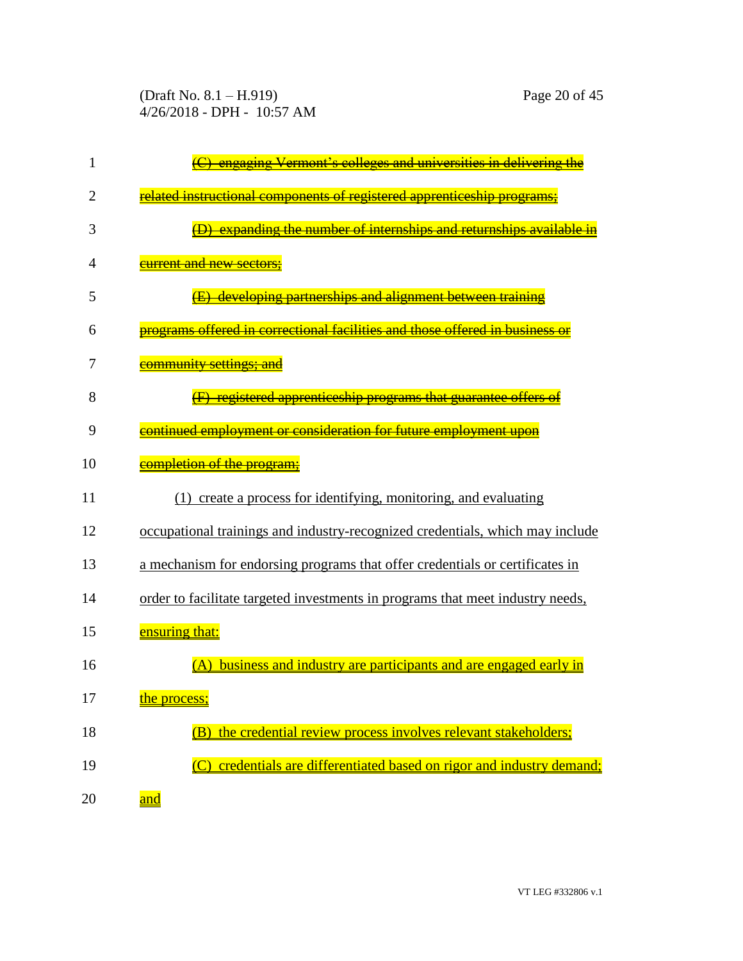(Draft No. 8.1 – H.919) Page 20 of 45 4/26/2018 - DPH - 10:57 AM

| 1              | engaging Vermont's colleges and universities in delivering th                  |
|----------------|--------------------------------------------------------------------------------|
| $\overline{2}$ | related instructional components of registered apprenticeship programs         |
| 3              | expanding the number of internships and returnships available                  |
| 4              | <del>current and new sectors:</del>                                            |
| 5              | developing partnerships and alignment between trai                             |
| 6              | offered in correctional facilities and those offered in business               |
| 7              | <del>community settings: and</del>                                             |
| 8              | registered apprenticeship programs that guarantee offers                       |
| 9              | continued employment or consideration for future employment upon               |
| 10             | completion of the program:                                                     |
| 11             | (1) create a process for identifying, monitoring, and evaluating               |
| 12             | occupational trainings and industry-recognized credentials, which may include  |
| 13             | a mechanism for endorsing programs that offer credentials or certificates in   |
| 14             | order to facilitate targeted investments in programs that meet industry needs, |
| 15             | ensuring that:                                                                 |
| 16             | business and industry are participants and are engaged early in                |
| 17             | the process;                                                                   |
| 18             | (B) the credential review process involves relevant stakeholders;              |
| 19             | (C) credentials are differentiated based on rigor and industry demand;         |
| 20             | and                                                                            |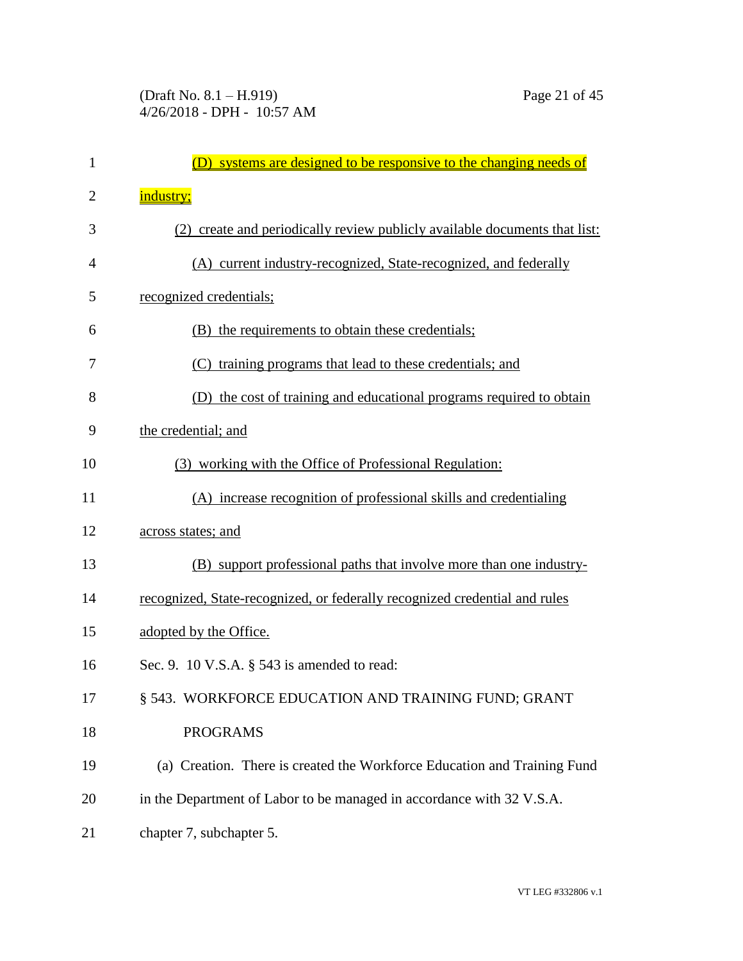| $\mathbf{1}$ | (D) systems are designed to be responsive to the changing needs of         |
|--------------|----------------------------------------------------------------------------|
| 2            | industry;                                                                  |
| 3            | (2) create and periodically review publicly available documents that list: |
| 4            | (A) current industry-recognized, State-recognized, and federally           |
| 5            | recognized credentials;                                                    |
| 6            | (B) the requirements to obtain these credentials;                          |
| 7            | (C) training programs that lead to these credentials; and                  |
| 8            | (D) the cost of training and educational programs required to obtain       |
| 9            | the credential; and                                                        |
| 10           | (3) working with the Office of Professional Regulation:                    |
| 11           | (A) increase recognition of professional skills and credentialing          |
| 12           | <u>across states; and</u>                                                  |
| 13           | (B) support professional paths that involve more than one industry-        |
| 14           | recognized, State-recognized, or federally recognized credential and rules |
| 15           | adopted by the Office.                                                     |
| 16           | Sec. 9. 10 V.S.A. $\S$ 543 is amended to read:                             |
| 17           | § 543. WORKFORCE EDUCATION AND TRAINING FUND; GRANT                        |
| 18           | <b>PROGRAMS</b>                                                            |
| 19           | (a) Creation. There is created the Workforce Education and Training Fund   |
| 20           | in the Department of Labor to be managed in accordance with 32 V.S.A.      |
| 21           | chapter 7, subchapter 5.                                                   |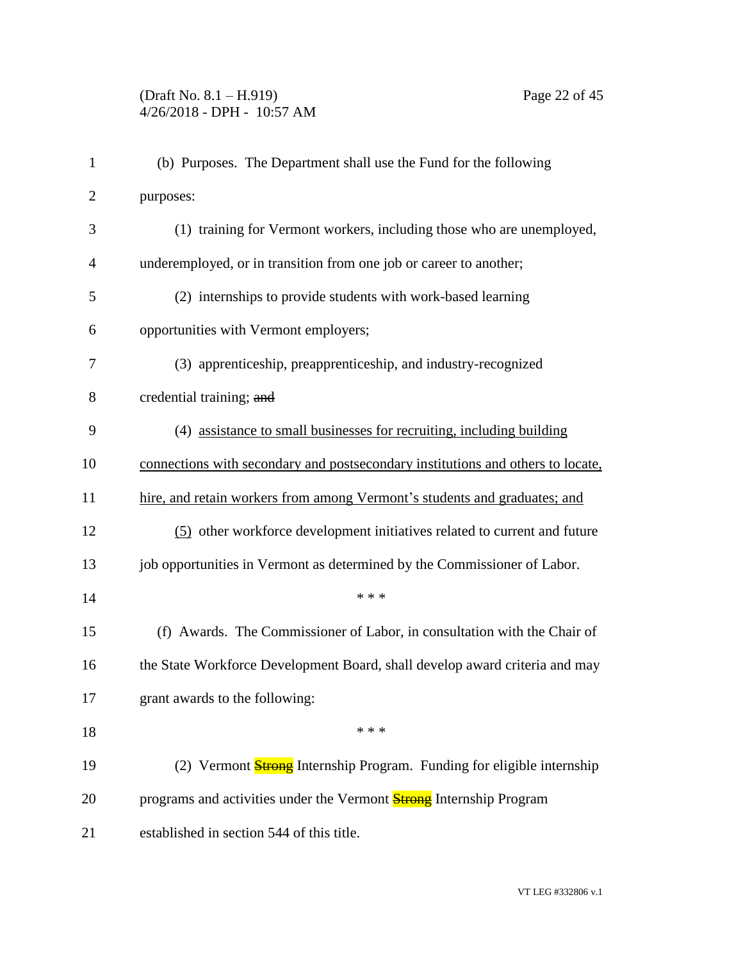| $\mathbf{1}$   | (b) Purposes. The Department shall use the Fund for the following               |
|----------------|---------------------------------------------------------------------------------|
| $\overline{2}$ | purposes:                                                                       |
| 3              | (1) training for Vermont workers, including those who are unemployed,           |
| $\overline{4}$ | underemployed, or in transition from one job or career to another;              |
| 5              | (2) internships to provide students with work-based learning                    |
| 6              | opportunities with Vermont employers;                                           |
| 7              | (3) apprenticeship, preapprenticeship, and industry-recognized                  |
| 8              | credential training; and                                                        |
| 9              | (4) assistance to small businesses for recruiting, including building           |
| 10             | connections with secondary and postsecondary institutions and others to locate, |
| 11             | hire, and retain workers from among Vermont's students and graduates; and       |
| 12             | (5) other workforce development initiatives related to current and future       |
| 13             | job opportunities in Vermont as determined by the Commissioner of Labor.        |
| 14             | * * *                                                                           |
| 15             | (f) Awards. The Commissioner of Labor, in consultation with the Chair of        |
| 16             | the State Workforce Development Board, shall develop award criteria and may     |
| 17             | grant awards to the following:                                                  |
| 18             | * * *                                                                           |
| 19             | (2) Vermont <b>Strong</b> Internship Program. Funding for eligible internship   |
| 20             | programs and activities under the Vermont <b>Strong</b> Internship Program      |
| 21             | established in section 544 of this title.                                       |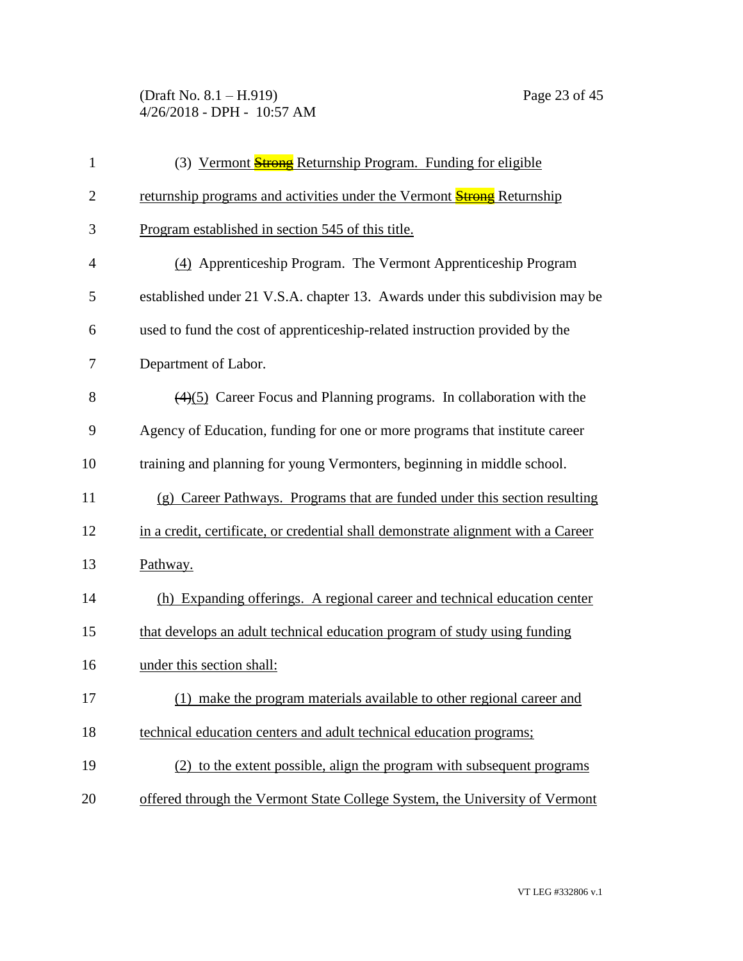(Draft No. 8.1 – H.919) Page 23 of 45 4/26/2018 - DPH - 10:57 AM

| $\mathbf{1}$   | (3) Vermont <b>Strong</b> Returnship Program. Funding for eligible                |
|----------------|-----------------------------------------------------------------------------------|
| $\overline{2}$ | returnship programs and activities under the Vermont <b>Strong</b> Returnship     |
| 3              | Program established in section 545 of this title.                                 |
| $\overline{4}$ | (4) Apprenticeship Program. The Vermont Apprenticeship Program                    |
| 5              | established under 21 V.S.A. chapter 13. Awards under this subdivision may be      |
| 6              | used to fund the cost of apprenticeship-related instruction provided by the       |
| 7              | Department of Labor.                                                              |
| 8              | $(4)(5)$ Career Focus and Planning programs. In collaboration with the            |
| 9              | Agency of Education, funding for one or more programs that institute career       |
| 10             | training and planning for young Vermonters, beginning in middle school.           |
| 11             | (g) Career Pathways. Programs that are funded under this section resulting        |
| 12             | in a credit, certificate, or credential shall demonstrate alignment with a Career |
| 13             | Pathway.                                                                          |
| 14             | (h) Expanding offerings. A regional career and technical education center         |
| 15             | that develops an adult technical education program of study using funding         |
| 16             | under this section shall:                                                         |
| 17             | make the program materials available to other regional career and                 |
| 18             | technical education centers and adult technical education programs;               |
| 19             | (2) to the extent possible, align the program with subsequent programs            |
| 20             | offered through the Vermont State College System, the University of Vermont       |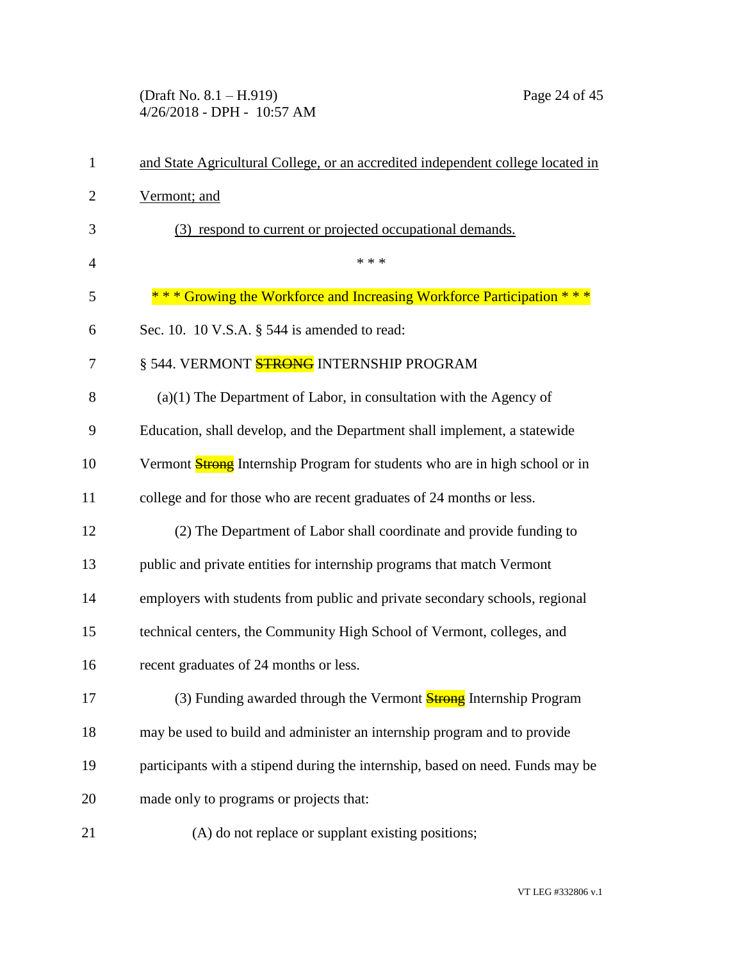(Draft No. 8.1 – H.919) Page 24 of 45 4/26/2018 - DPH - 10:57 AM

| 1              | and State Agricultural College, or an accredited independent college located in    |
|----------------|------------------------------------------------------------------------------------|
| $\overline{2}$ | Vermont; and                                                                       |
| 3              | (3) respond to current or projected occupational demands.                          |
| $\overline{4}$ | * * *                                                                              |
| 5              | *** Growing the Workforce and Increasing Workforce Participation ***               |
| 6              | Sec. 10. 10 V.S.A. § 544 is amended to read:                                       |
| 7              | § 544. VERMONT <mark>STRONG</mark> INTERNSHIP PROGRAM                              |
| 8              | $(a)(1)$ The Department of Labor, in consultation with the Agency of               |
| 9              | Education, shall develop, and the Department shall implement, a statewide          |
| 10             | Vermont <b>Strong</b> Internship Program for students who are in high school or in |
| 11             | college and for those who are recent graduates of 24 months or less.               |
| 12             | (2) The Department of Labor shall coordinate and provide funding to                |
| 13             | public and private entities for internship programs that match Vermont             |
| 14             | employers with students from public and private secondary schools, regional        |
| 15             | technical centers, the Community High School of Vermont, colleges, and             |
| 16             | recent graduates of 24 months or less.                                             |
| 17             | (3) Funding awarded through the Vermont <b>Strong</b> Internship Program           |
| 18             | may be used to build and administer an internship program and to provide           |
| 19             | participants with a stipend during the internship, based on need. Funds may be     |
| 20             | made only to programs or projects that:                                            |
| 21             | (A) do not replace or supplant existing positions;                                 |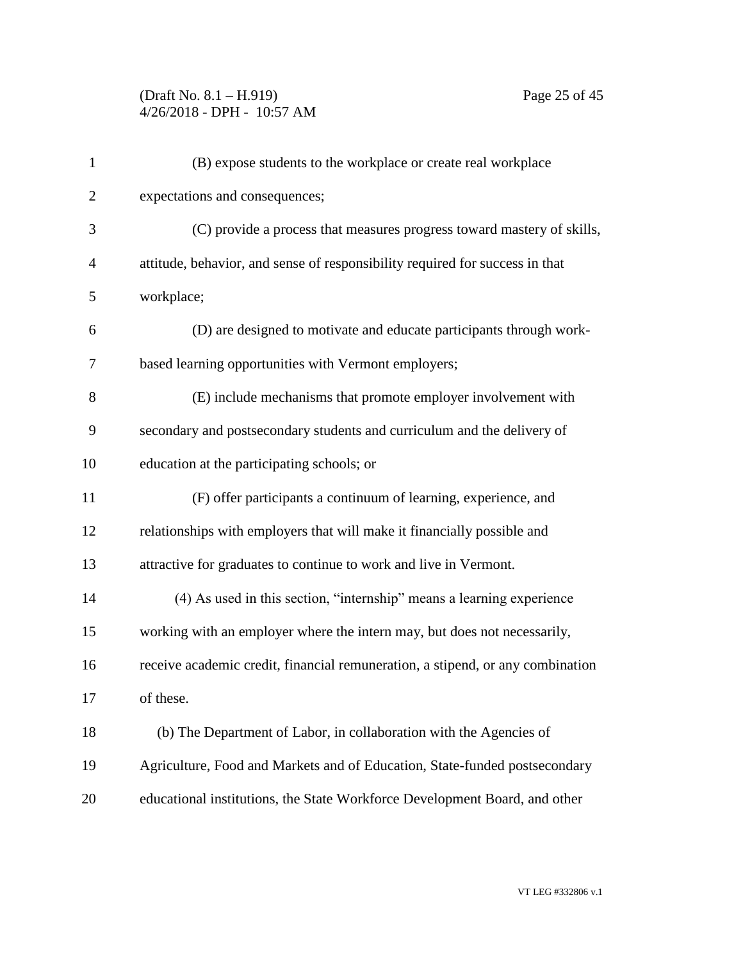## (Draft No. 8.1 – H.919) Page 25 of 45 4/26/2018 - DPH - 10:57 AM

| $\mathbf{1}$   | (B) expose students to the workplace or create real workplace                  |
|----------------|--------------------------------------------------------------------------------|
| $\overline{2}$ | expectations and consequences;                                                 |
| 3              | (C) provide a process that measures progress toward mastery of skills,         |
| 4              | attitude, behavior, and sense of responsibility required for success in that   |
| 5              | workplace;                                                                     |
| 6              | (D) are designed to motivate and educate participants through work-            |
| 7              | based learning opportunities with Vermont employers;                           |
| 8              | (E) include mechanisms that promote employer involvement with                  |
| 9              | secondary and postsecondary students and curriculum and the delivery of        |
| 10             | education at the participating schools; or                                     |
| 11             | (F) offer participants a continuum of learning, experience, and                |
| 12             | relationships with employers that will make it financially possible and        |
| 13             | attractive for graduates to continue to work and live in Vermont.              |
| 14             | (4) As used in this section, "internship" means a learning experience          |
| 15             | working with an employer where the intern may, but does not necessarily,       |
| 16             | receive academic credit, financial remuneration, a stipend, or any combination |
| 17             | of these.                                                                      |
| 18             | (b) The Department of Labor, in collaboration with the Agencies of             |
| 19             | Agriculture, Food and Markets and of Education, State-funded postsecondary     |
| 20             | educational institutions, the State Workforce Development Board, and other     |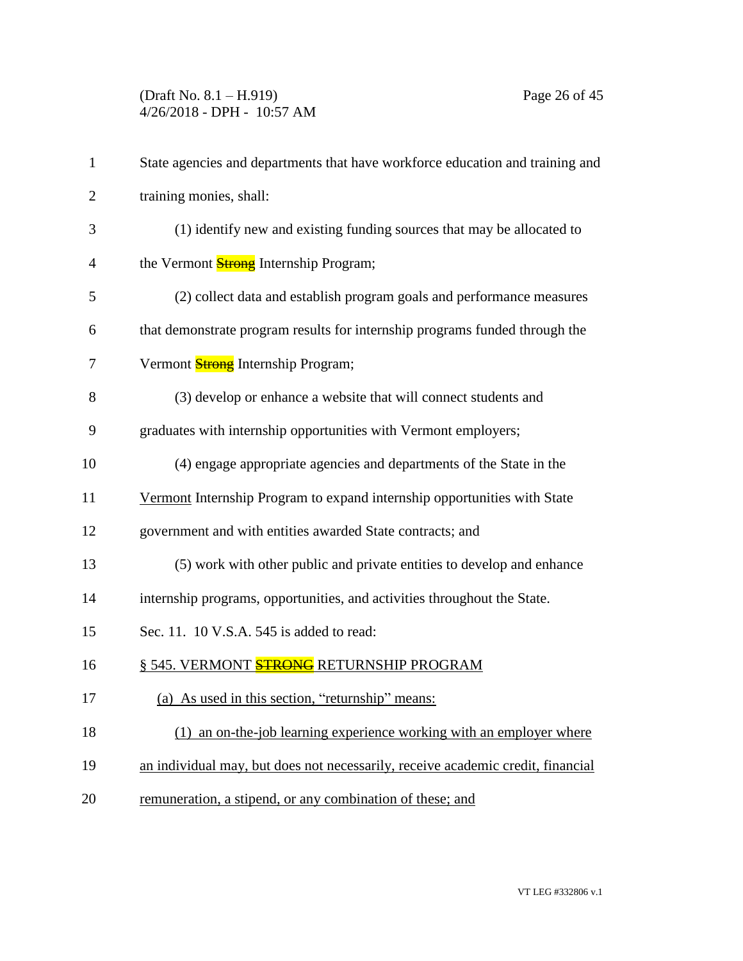(Draft No. 8.1 – H.919) Page 26 of 45 4/26/2018 - DPH - 10:57 AM

| $\mathbf{1}$   | State agencies and departments that have workforce education and training and   |
|----------------|---------------------------------------------------------------------------------|
| $\overline{2}$ | training monies, shall:                                                         |
| 3              | (1) identify new and existing funding sources that may be allocated to          |
| $\overline{4}$ | the Vermont <b>Strong</b> Internship Program;                                   |
| 5              | (2) collect data and establish program goals and performance measures           |
| 6              | that demonstrate program results for internship programs funded through the     |
| 7              | Vermont <b>Strong</b> Internship Program;                                       |
| 8              | (3) develop or enhance a website that will connect students and                 |
| 9              | graduates with internship opportunities with Vermont employers;                 |
| 10             | (4) engage appropriate agencies and departments of the State in the             |
| 11             | Vermont Internship Program to expand internship opportunities with State        |
| 12             | government and with entities awarded State contracts; and                       |
| 13             | (5) work with other public and private entities to develop and enhance          |
| 14             | internship programs, opportunities, and activities throughout the State.        |
| 15             | Sec. 11. 10 V.S.A. 545 is added to read:                                        |
| 16             | § 545. VERMONT STRONG RETURNSHIP PROGRAM                                        |
| 17             | (a) As used in this section, "returnship" means:                                |
| 18             | (1) an on-the-job learning experience working with an employer where            |
| 19             | an individual may, but does not necessarily, receive academic credit, financial |
| 20             | remuneration, a stipend, or any combination of these; and                       |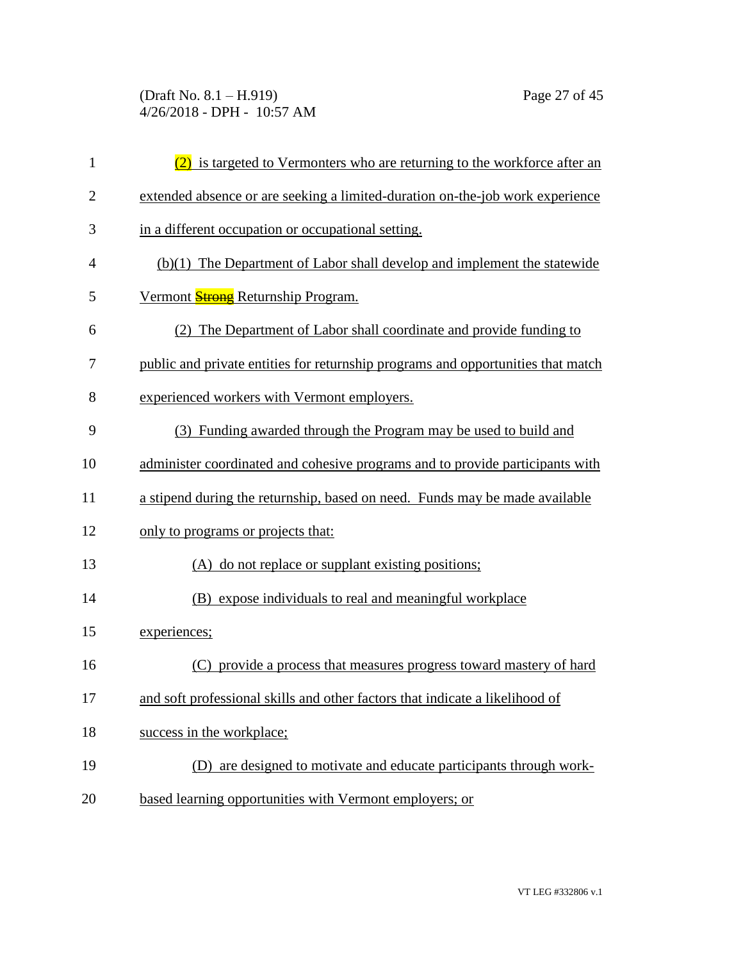(Draft No. 8.1 – H.919) Page 27 of 45 4/26/2018 - DPH - 10:57 AM

| $\mathbf{1}$   | (2) is targeted to Vermonters who are returning to the workforce after an        |
|----------------|----------------------------------------------------------------------------------|
| $\overline{2}$ | extended absence or are seeking a limited-duration on-the-job work experience    |
| 3              | in a different occupation or occupational setting.                               |
| 4              | (b)(1) The Department of Labor shall develop and implement the statewide         |
| 5              | Vermont Strong Returnship Program.                                               |
| 6              | (2) The Department of Labor shall coordinate and provide funding to              |
| 7              | public and private entities for returnship programs and opportunities that match |
| 8              | experienced workers with Vermont employers.                                      |
| 9              | (3) Funding awarded through the Program may be used to build and                 |
| 10             | administer coordinated and cohesive programs and to provide participants with    |
| 11             | a stipend during the returnship, based on need. Funds may be made available      |
| 12             | only to programs or projects that:                                               |
| 13             | (A) do not replace or supplant existing positions;                               |
| 14             | (B) expose individuals to real and meaningful workplace                          |
| 15             | experiences;                                                                     |
| 16             | (C) provide a process that measures progress toward mastery of hard              |
| 17             | and soft professional skills and other factors that indicate a likelihood of     |
| 18             | success in the workplace;                                                        |
| 19             | (D) are designed to motivate and educate participants through work-              |
| 20             | based learning opportunities with Vermont employers; or                          |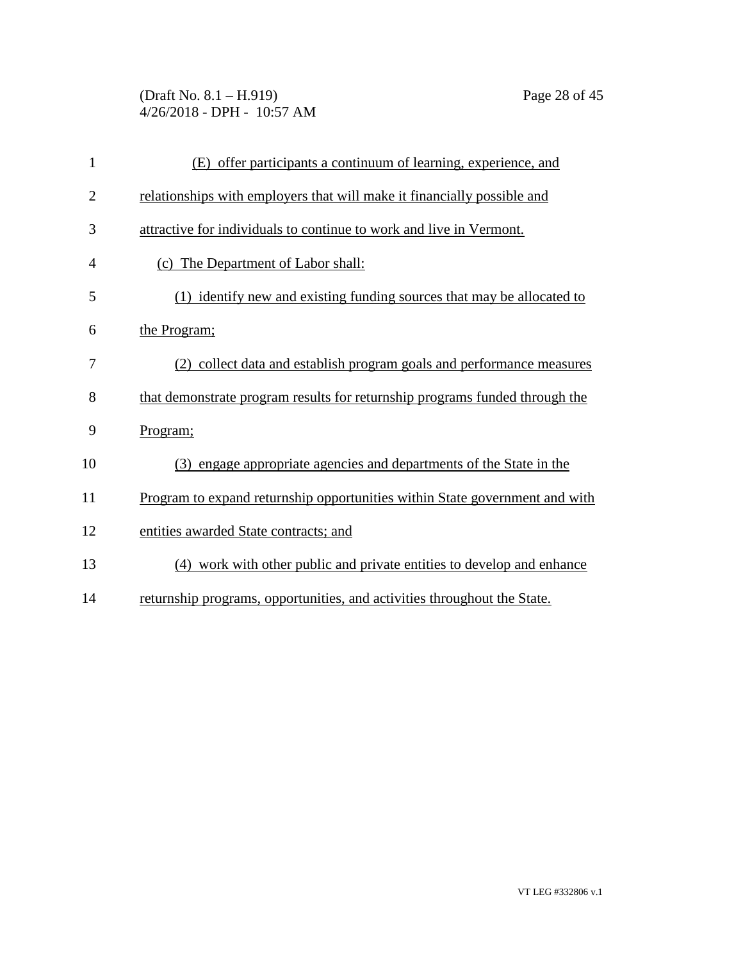(Draft No. 8.1 – H.919) Page 28 of 45 4/26/2018 - DPH - 10:57 AM

| $\mathbf{1}$   | (E) offer participants a continuum of learning, experience, and             |
|----------------|-----------------------------------------------------------------------------|
| $\overline{2}$ | relationships with employers that will make it financially possible and     |
| 3              | attractive for individuals to continue to work and live in Vermont.         |
| 4              | (c) The Department of Labor shall:                                          |
| 5              | (1) identify new and existing funding sources that may be allocated to      |
| 6              | the Program;                                                                |
| 7              | (2) collect data and establish program goals and performance measures       |
| 8              | that demonstrate program results for returnship programs funded through the |
| 9              | Program;                                                                    |
| 10             | (3) engage appropriate agencies and departments of the State in the         |
| 11             | Program to expand returnship opportunities within State government and with |
| 12             | entities awarded State contracts; and                                       |
| 13             | (4) work with other public and private entities to develop and enhance      |
| 14             | returnship programs, opportunities, and activities throughout the State.    |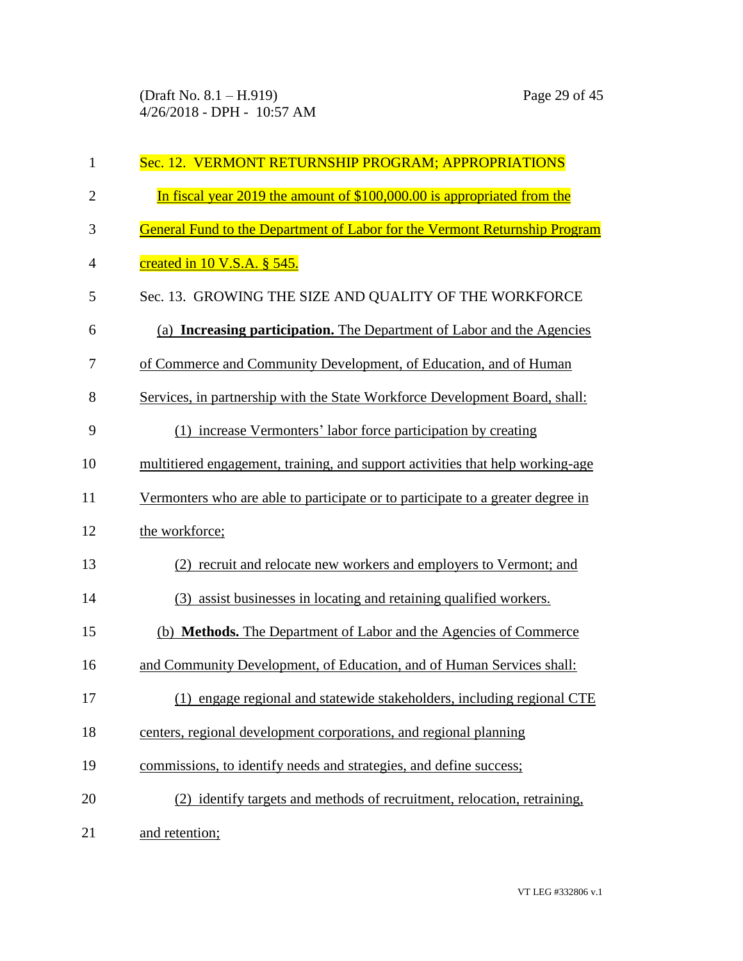| $\mathbf{1}$   | Sec. 12. VERMONT RETURNSHIP PROGRAM; APPROPRIATIONS                             |
|----------------|---------------------------------------------------------------------------------|
| $\overline{2}$ | In fiscal year 2019 the amount of \$100,000.00 is appropriated from the         |
| 3              | General Fund to the Department of Labor for the Vermont Returnship Program      |
| 4              | <u>created in 10 V.S.A. § 545.</u>                                              |
| 5              | Sec. 13. GROWING THE SIZE AND QUALITY OF THE WORKFORCE                          |
| 6              | (a) <b>Increasing participation.</b> The Department of Labor and the Agencies   |
| 7              | of Commerce and Community Development, of Education, and of Human               |
| 8              | Services, in partnership with the State Workforce Development Board, shall:     |
| 9              | (1) increase Vermonters' labor force participation by creating                  |
| 10             | multitiered engagement, training, and support activities that help working-age  |
| 11             | Vermonters who are able to participate or to participate to a greater degree in |
| 12             | the workforce;                                                                  |
| 13             | (2) recruit and relocate new workers and employers to Vermont; and              |
| 14             | (3) assist businesses in locating and retaining qualified workers.              |
| 15             | (b) Methods. The Department of Labor and the Agencies of Commerce               |
| 16             | and Community Development, of Education, and of Human Services shall:           |
| 17             | (1) engage regional and statewide stakeholders, including regional CTE          |
| 18             | centers, regional development corporations, and regional planning               |
| 19             | commissions, to identify needs and strategies, and define success;              |
| 20             | (2) identify targets and methods of recruitment, relocation, retraining,        |
| 21             | and retention;                                                                  |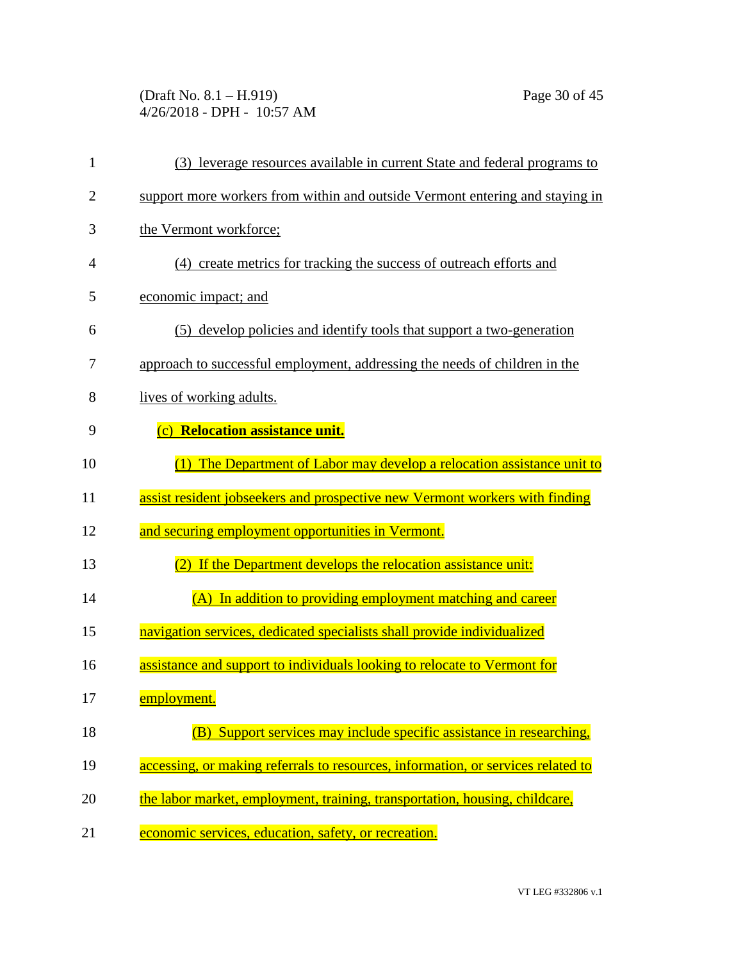(Draft No. 8.1 – H.919) Page 30 of 45 4/26/2018 - DPH - 10:57 AM

| 1              | (3) leverage resources available in current State and federal programs to        |
|----------------|----------------------------------------------------------------------------------|
| $\overline{2}$ | support more workers from within and outside Vermont entering and staying in     |
| 3              | the Vermont workforce;                                                           |
| $\overline{4}$ | (4) create metrics for tracking the success of outreach efforts and              |
| 5              | economic impact; and                                                             |
| 6              | (5) develop policies and identify tools that support a two-generation            |
| 7              | approach to successful employment, addressing the needs of children in the       |
| 8              | lives of working adults.                                                         |
| 9              | (c) Relocation assistance unit.                                                  |
| 10             | (1) The Department of Labor may develop a relocation assistance unit to          |
| 11             | assist resident jobseekers and prospective new Vermont workers with finding      |
| 12             | and securing employment opportunities in Vermont.                                |
| 13             | If the Department develops the relocation assistance unit:                       |
| 14             | (A) In addition to providing employment matching and career                      |
| 15             | navigation services, dedicated specialists shall provide individualized          |
| 16             | assistance and support to individuals looking to relocate to Vermont for         |
| 17             | employment.                                                                      |
| 18             | Support services may include specific assistance in researching,                 |
| 19             | accessing, or making referrals to resources, information, or services related to |
| 20             | the labor market, employment, training, transportation, housing, childcare,      |
| 21             | economic services, education, safety, or recreation.                             |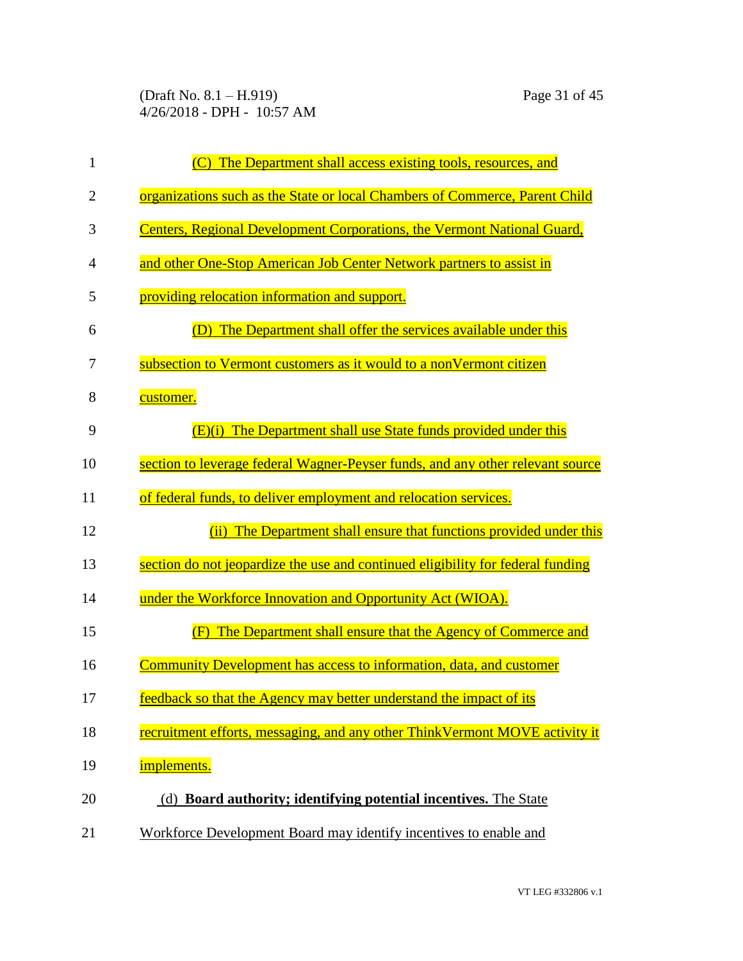(Draft No. 8.1 – H.919) Page 31 of 45 4/26/2018 - DPH - 10:57 AM

| $\mathbf{1}$   | (C) The Department shall access existing tools, resources, and                  |
|----------------|---------------------------------------------------------------------------------|
| $\overline{2}$ | organizations such as the State or local Chambers of Commerce, Parent Child     |
| 3              | Centers, Regional Development Corporations, the Vermont National Guard,         |
| $\overline{4}$ | and other One-Stop American Job Center Network partners to assist in            |
| 5              | providing relocation information and support.                                   |
| 6              | (D) The Department shall offer the services available under this                |
| 7              | subsection to Vermont customers as it would to a nonVermont citizen             |
| 8              | customer.                                                                       |
| 9              | (E)(i) The Department shall use State funds provided under this                 |
| 10             | section to leverage federal Wagner-Peyser funds, and any other relevant source  |
| 11             | of federal funds, to deliver employment and relocation services.                |
| 12             | The Department shall ensure that functions provided under this<br>(ii)          |
| 13             | section do not jeopardize the use and continued eligibility for federal funding |
| 14             | under the Workforce Innovation and Opportunity Act (WIOA).                      |
| 15             | (F) The Department shall ensure that the Agency of Commerce and                 |
| 16             | Community Development has access to information, data, and customer             |
| 17             | feedback so that the Agency may better understand the impact of its             |
| 18             | recruitment efforts, messaging, and any other ThinkVermont MOVE activity it     |
| 19             | implements.                                                                     |
| 20             | (d) Board authority; identifying potential incentives. The State                |
| 21             | Workforce Development Board may identify incentives to enable and               |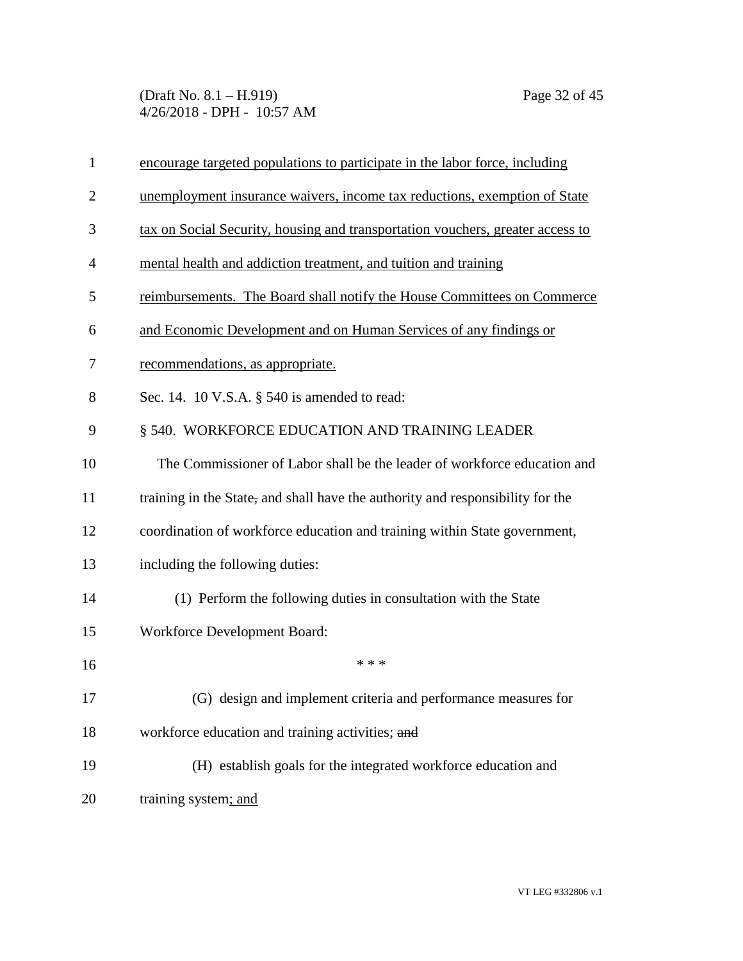(Draft No. 8.1 – H.919) Page 32 of 45 4/26/2018 - DPH - 10:57 AM

| $\mathbf{1}$   | encourage targeted populations to participate in the labor force, including    |
|----------------|--------------------------------------------------------------------------------|
| $\overline{2}$ | unemployment insurance waivers, income tax reductions, exemption of State      |
| 3              | tax on Social Security, housing and transportation vouchers, greater access to |
| $\overline{4}$ | mental health and addiction treatment, and tuition and training                |
| 5              | reimbursements. The Board shall notify the House Committees on Commerce        |
| 6              | and Economic Development and on Human Services of any findings or              |
| 7              | recommendations, as appropriate.                                               |
| 8              | Sec. 14. 10 V.S.A. $\S$ 540 is amended to read:                                |
| 9              | § 540. WORKFORCE EDUCATION AND TRAINING LEADER                                 |
| 10             | The Commissioner of Labor shall be the leader of workforce education and       |
| 11             | training in the State, and shall have the authority and responsibility for the |
| 12             | coordination of workforce education and training within State government,      |
| 13             | including the following duties:                                                |
| 14             | (1) Perform the following duties in consultation with the State                |
| 15             | <b>Workforce Development Board:</b>                                            |
| 16             | * * *                                                                          |
| 17             | (G) design and implement criteria and performance measures for                 |
| 18             | workforce education and training activities; and                               |
| 19             | (H) establish goals for the integrated workforce education and                 |
| 20             | training system; and                                                           |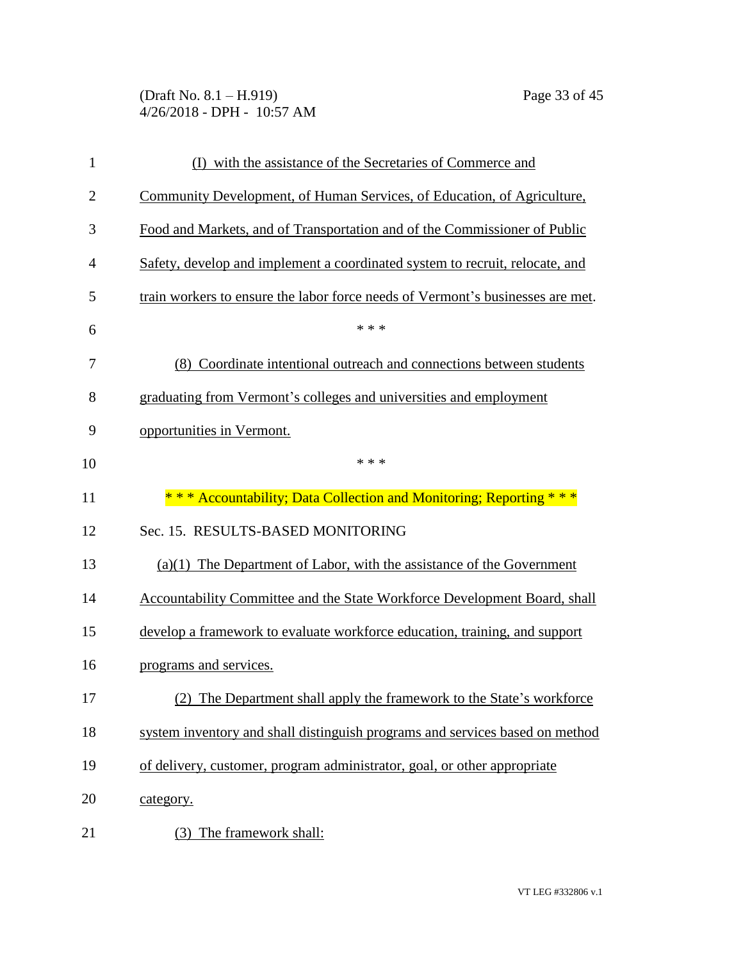(Draft No. 8.1 – H.919) Page 33 of 45 4/26/2018 - DPH - 10:57 AM

| $\mathbf{1}$   | (I) with the assistance of the Secretaries of Commerce and                     |
|----------------|--------------------------------------------------------------------------------|
| $\overline{2}$ | Community Development, of Human Services, of Education, of Agriculture,        |
| 3              | Food and Markets, and of Transportation and of the Commissioner of Public      |
| $\overline{4}$ | Safety, develop and implement a coordinated system to recruit, relocate, and   |
| 5              | train workers to ensure the labor force needs of Vermont's businesses are met. |
| 6              | * * *                                                                          |
| 7              | (8) Coordinate intentional outreach and connections between students           |
| 8              | graduating from Vermont's colleges and universities and employment             |
| 9              | opportunities in Vermont.                                                      |
| 10             | * * *                                                                          |
| 11             | * * * Accountability; Data Collection and Monitoring; Reporting * * *          |
| 12             | Sec. 15. RESULTS-BASED MONITORING                                              |
| 13             | $(a)(1)$ The Department of Labor, with the assistance of the Government        |
| 14             | Accountability Committee and the State Workforce Development Board, shall      |
| 15             | develop a framework to evaluate workforce education, training, and support     |
| 16             | programs and services.                                                         |
| 17             | (2) The Department shall apply the framework to the State's workforce          |
| 18             | system inventory and shall distinguish programs and services based on method   |
| 19             | of delivery, customer, program administrator, goal, or other appropriate       |
| 20             | category.                                                                      |
| 21             | The framework shall:<br>(3)                                                    |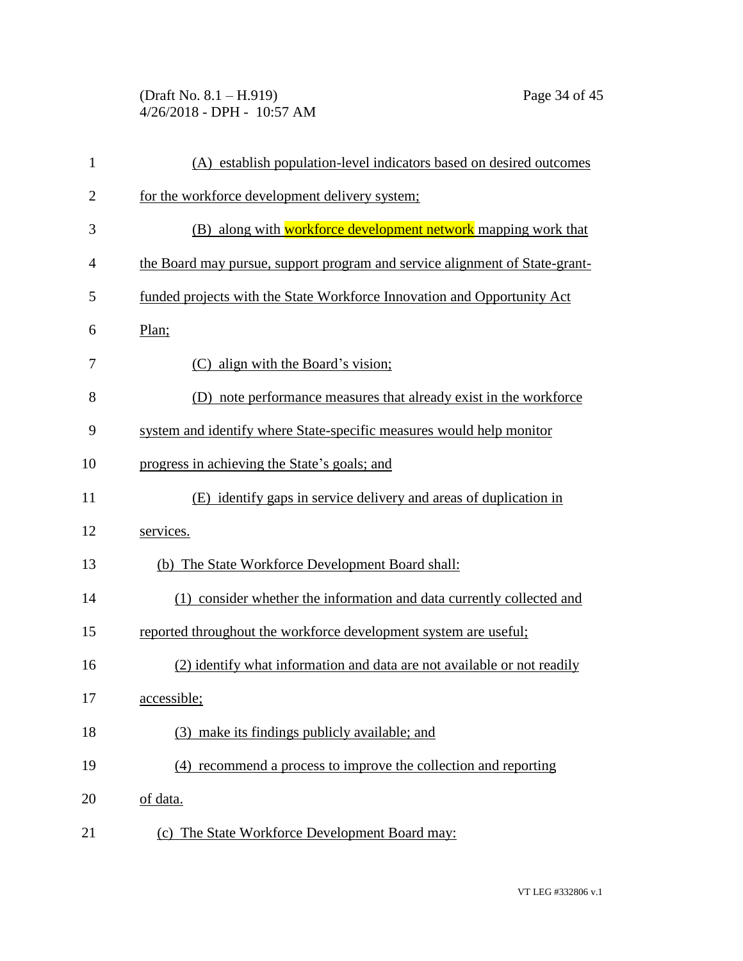(Draft No. 8.1 – H.919) Page 34 of 45 4/26/2018 - DPH - 10:57 AM

| $\mathbf{1}$   | (A) establish population-level indicators based on desired outcomes         |
|----------------|-----------------------------------------------------------------------------|
| $\overline{2}$ | for the workforce development delivery system;                              |
| 3              | (B) along with workforce development network mapping work that              |
| $\overline{4}$ | the Board may pursue, support program and service alignment of State-grant- |
| 5              | funded projects with the State Workforce Innovation and Opportunity Act     |
| 6              | Plan;                                                                       |
| 7              | (C) align with the Board's vision;                                          |
| 8              | (D) note performance measures that already exist in the workforce           |
| 9              | system and identify where State-specific measures would help monitor        |
| 10             | progress in achieving the State's goals; and                                |
| 11             | (E) identify gaps in service delivery and areas of duplication in           |
| 12             | services.                                                                   |
| 13             | (b) The State Workforce Development Board shall:                            |
| 14             | (1) consider whether the information and data currently collected and       |
| 15             | reported throughout the workforce development system are useful;            |
| 16             | (2) identify what information and data are not available or not readily     |
| 17             | accessible;                                                                 |
| 18             | (3) make its findings publicly available; and                               |
| 19             | (4) recommend a process to improve the collection and reporting             |
| 20             | of data.                                                                    |
| 21             | (c) The State Workforce Development Board may:                              |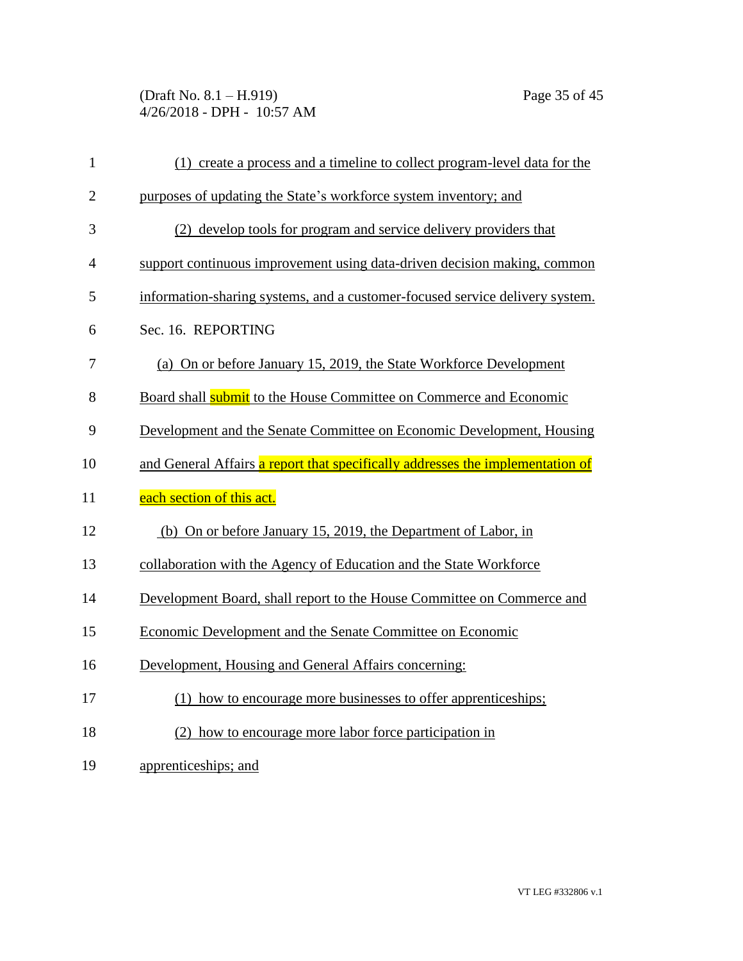(Draft No. 8.1 – H.919) Page 35 of 45 4/26/2018 - DPH - 10:57 AM

| $\mathbf{1}$   | (1) create a process and a timeline to collect program-level data for the      |
|----------------|--------------------------------------------------------------------------------|
| $\overline{2}$ | purposes of updating the State's workforce system inventory; and               |
| 3              | (2) develop tools for program and service delivery providers that              |
| $\overline{4}$ | support continuous improvement using data-driven decision making, common       |
| 5              | information-sharing systems, and a customer-focused service delivery system.   |
| 6              | Sec. 16. REPORTING                                                             |
| 7              | (a) On or before January 15, 2019, the State Workforce Development             |
| 8              | Board shall <b>submit</b> to the House Committee on Commerce and Economic      |
| 9              | Development and the Senate Committee on Economic Development, Housing          |
| 10             | and General Affairs a report that specifically addresses the implementation of |
| 11             | each section of this act.                                                      |
| 12             | (b) On or before January 15, 2019, the Department of Labor, in                 |
| 13             | collaboration with the Agency of Education and the State Workforce             |
| 14             | Development Board, shall report to the House Committee on Commerce and         |
| 15             | Economic Development and the Senate Committee on Economic                      |
| 16             | Development, Housing and General Affairs concerning:                           |
| 17             | (1) how to encourage more businesses to offer apprenticeships;                 |
| 18             | (2) how to encourage more labor force participation in                         |
| 19             | apprenticeships; and                                                           |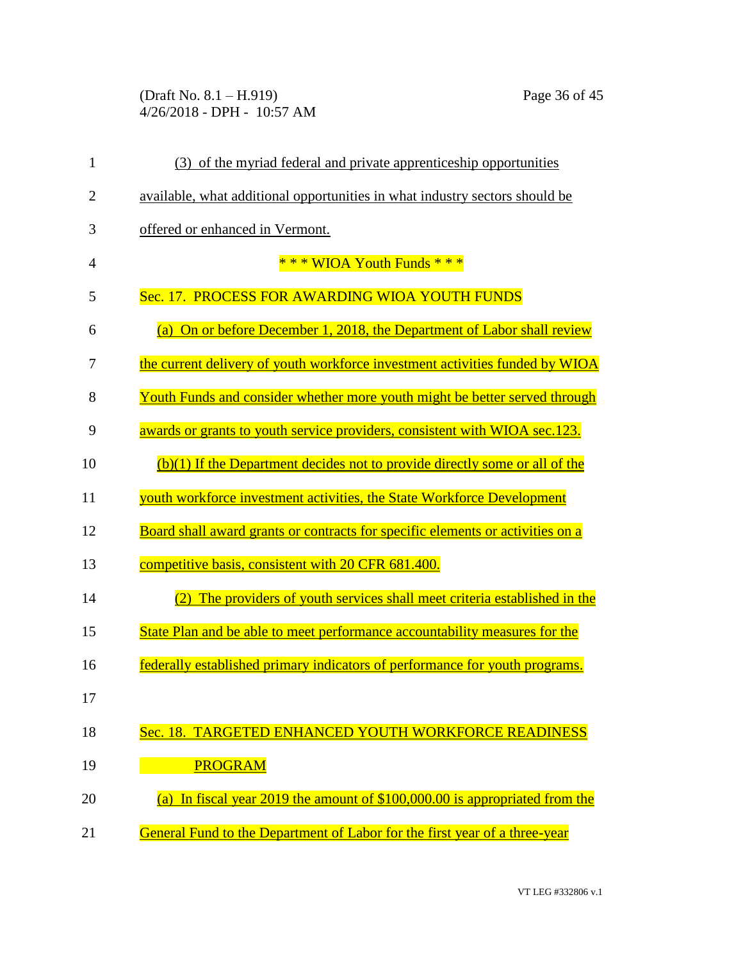(Draft No. 8.1 – H.919) Page 36 of 45 4/26/2018 - DPH - 10:57 AM

| $\mathbf{1}$   | (3) of the myriad federal and private apprenticeship opportunities                      |
|----------------|-----------------------------------------------------------------------------------------|
| $\overline{2}$ | available, what additional opportunities in what industry sectors should be             |
| 3              | offered or enhanced in Vermont.                                                         |
| 4              | *** WIOA Youth Funds ***                                                                |
| 5              | Sec. 17. PROCESS FOR AWARDING WIOA YOUTH FUNDS                                          |
| 6              | On or before December 1, 2018, the Department of Labor shall review<br>$\left(a\right)$ |
| 7              | the current delivery of youth workforce investment activities funded by WIOA            |
| 8              | Youth Funds and consider whether more youth might be better served through              |
| 9              | awards or grants to youth service providers, consistent with WIOA sec.123.              |
| 10             | $(b)(1)$ If the Department decides not to provide directly some or all of the           |
| 11             | youth workforce investment activities, the State Workforce Development                  |
| 12             | Board shall award grants or contracts for specific elements or activities on a          |
| 13             | competitive basis, consistent with 20 CFR 681.400.                                      |
| 14             | The providers of youth services shall meet criteria established in the                  |
| 15             | State Plan and be able to meet performance accountability measures for the              |
| 16             | federally established primary indicators of performance for youth programs.             |
| 17             |                                                                                         |
| 18             | Sec. 18. TARGETED ENHANCED YOUTH WORKFORCE READINESS                                    |
| 19             | <b>PROGRAM</b>                                                                          |
| 20             | In fiscal year 2019 the amount of \$100,000.00 is appropriated from the<br>(a)          |
| 21             | General Fund to the Department of Labor for the first year of a three-year              |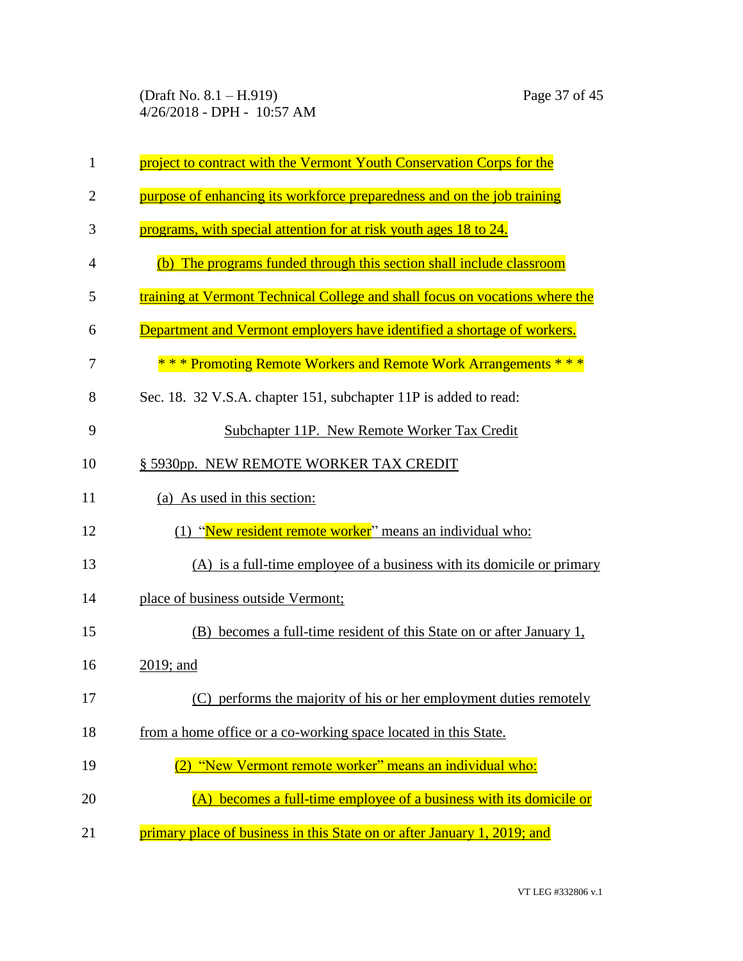| $\mathbf{1}$   | project to contract with the Vermont Youth Conservation Corps for the        |
|----------------|------------------------------------------------------------------------------|
| $\overline{2}$ | purpose of enhancing its workforce preparedness and on the job training      |
| 3              | programs, with special attention for at risk youth ages 18 to 24.            |
| $\overline{4}$ | (b) The programs funded through this section shall include classroom         |
| 5              | training at Vermont Technical College and shall focus on vocations where the |
| 6              | Department and Vermont employers have identified a shortage of workers.      |
| 7              | *** Promoting Remote Workers and Remote Work Arrangements ***                |
| 8              | Sec. 18. 32 V.S.A. chapter 151, subchapter 11P is added to read:             |
| 9              | Subchapter 11P. New Remote Worker Tax Credit                                 |
| 10             | § 5930pp. NEW REMOTE WORKER TAX CREDIT                                       |
| 11             | (a) As used in this section:                                                 |
| 12             | (1) "New resident remote worker" means an individual who:                    |
| 13             | (A) is a full-time employee of a business with its domicile or primary       |
| 14             | place of business outside Vermont;                                           |
| 15             | (B) becomes a full-time resident of this State on or after January 1,        |
| 16             | $2019$ ; and                                                                 |
| 17             | (C) performs the majority of his or her employment duties remotely           |
| 18             | from a home office or a co-working space located in this State.              |
| 19             | "New Vermont remote worker" means an individual who:                         |
| 20             | (A) becomes a full-time employee of a business with its domicile or          |
| 21             | primary place of business in this State on or after January 1, 2019; and     |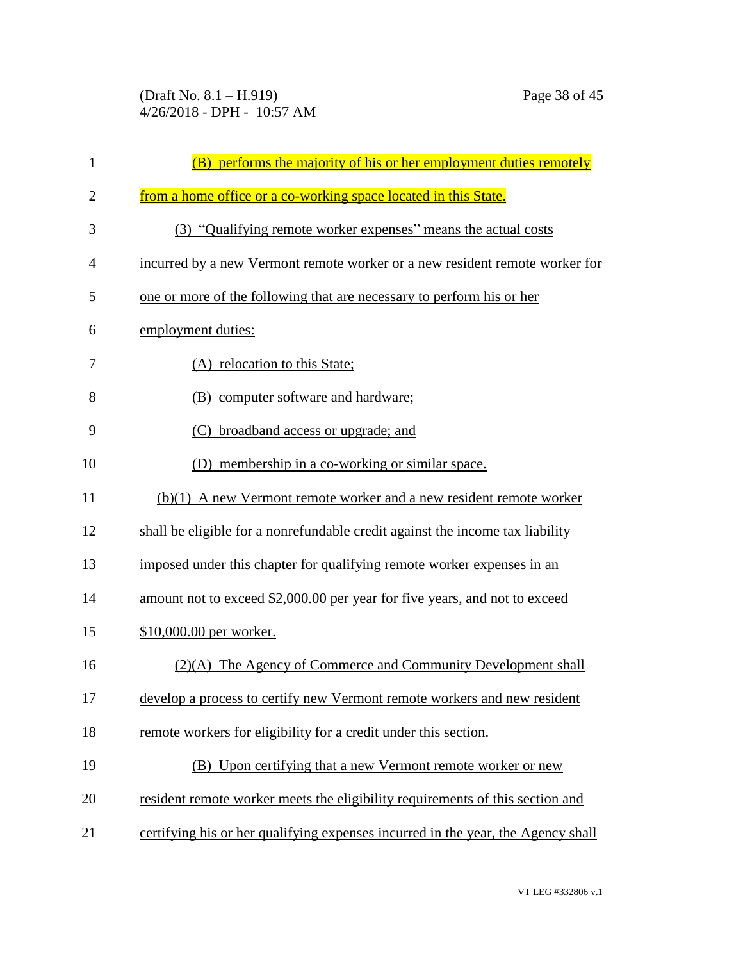(Draft No. 8.1 – H.919) Page 38 of 45 4/26/2018 - DPH - 10:57 AM

| $\mathbf{1}$   | (B) performs the majority of his or her employment duties remotely               |
|----------------|----------------------------------------------------------------------------------|
| $\overline{2}$ | from a home office or a co-working space located in this State.                  |
| 3              | (3) "Qualifying remote worker expenses" means the actual costs                   |
| 4              | incurred by a new Vermont remote worker or a new resident remote worker for      |
| 5              | one or more of the following that are necessary to perform his or her            |
| 6              | employment duties:                                                               |
| 7              | (A) relocation to this State;                                                    |
| 8              | (B) computer software and hardware;                                              |
| 9              | (C) broadband access or upgrade; and                                             |
| 10             | (D) membership in a co-working or similar space.                                 |
| 11             | $(b)(1)$ A new Vermont remote worker and a new resident remote worker            |
| 12             | shall be eligible for a nonrefundable credit against the income tax liability    |
| 13             | imposed under this chapter for qualifying remote worker expenses in an           |
| 14             | amount not to exceed \$2,000.00 per year for five years, and not to exceed       |
| 15             | \$10,000.00 per worker.                                                          |
| 16             | (2)(A) The Agency of Commerce and Community Development shall                    |
| 17             | develop a process to certify new Vermont remote workers and new resident         |
| 18             | remote workers for eligibility for a credit under this section.                  |
| 19             | (B) Upon certifying that a new Vermont remote worker or new                      |
| 20             | resident remote worker meets the eligibility requirements of this section and    |
| 21             | certifying his or her qualifying expenses incurred in the year, the Agency shall |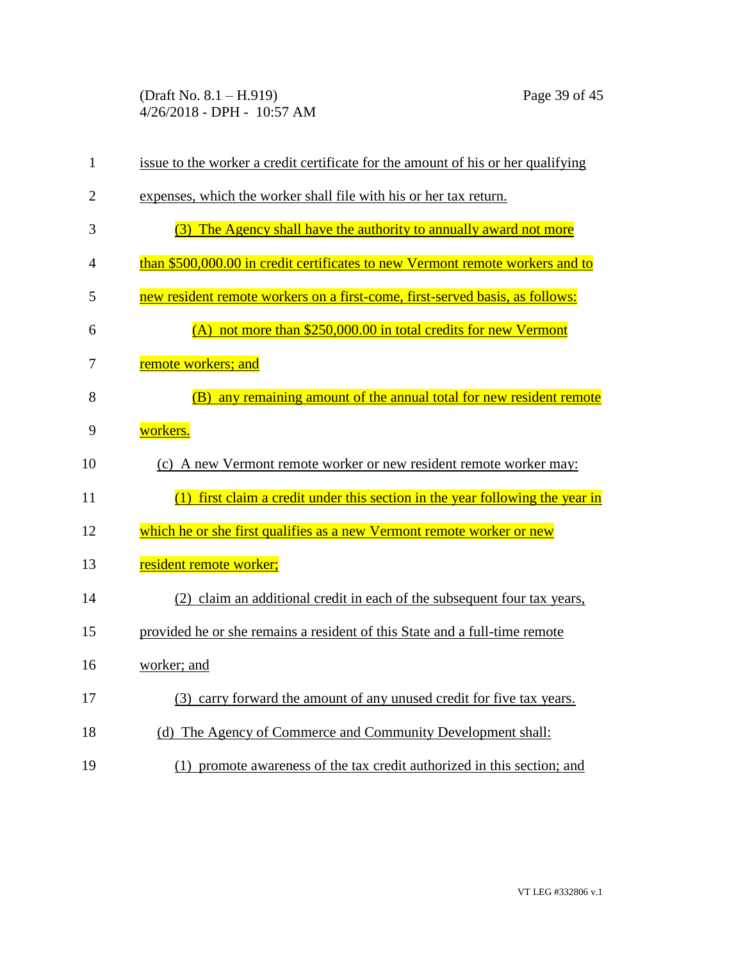(Draft No. 8.1 – H.919) Page 39 of 45 4/26/2018 - DPH - 10:57 AM

| $\mathbf{1}$   | issue to the worker a credit certificate for the amount of his or her qualifying |
|----------------|----------------------------------------------------------------------------------|
| $\overline{2}$ | expenses, which the worker shall file with his or her tax return.                |
| 3              | (3) The Agency shall have the authority to annually award not more               |
| 4              | than \$500,000.00 in credit certificates to new Vermont remote workers and to    |
| 5              | new resident remote workers on a first-come, first-served basis, as follows:     |
| 6              | (A) not more than \$250,000.00 in total credits for new Vermont                  |
| 7              | remote workers; and                                                              |
| 8              | any remaining amount of the annual total for new resident remote<br>(B)          |
| 9              | workers.                                                                         |
| 10             | (c) A new Vermont remote worker or new resident remote worker may:               |
| 11             | $(1)$ first claim a credit under this section in the year following the year in  |
| 12             | which he or she first qualifies as a new Vermont remote worker or new            |
| 13             | resident remote worker;                                                          |
| 14             | (2) claim an additional credit in each of the subsequent four tax years,         |
| 15             | provided he or she remains a resident of this State and a full-time remote       |
| 16             | worker; and                                                                      |
| 17             | (3) carry forward the amount of any unused credit for five tax years.            |
| 18             | (d) The Agency of Commerce and Community Development shall:                      |
| 19             | (1) promote awareness of the tax credit authorized in this section; and          |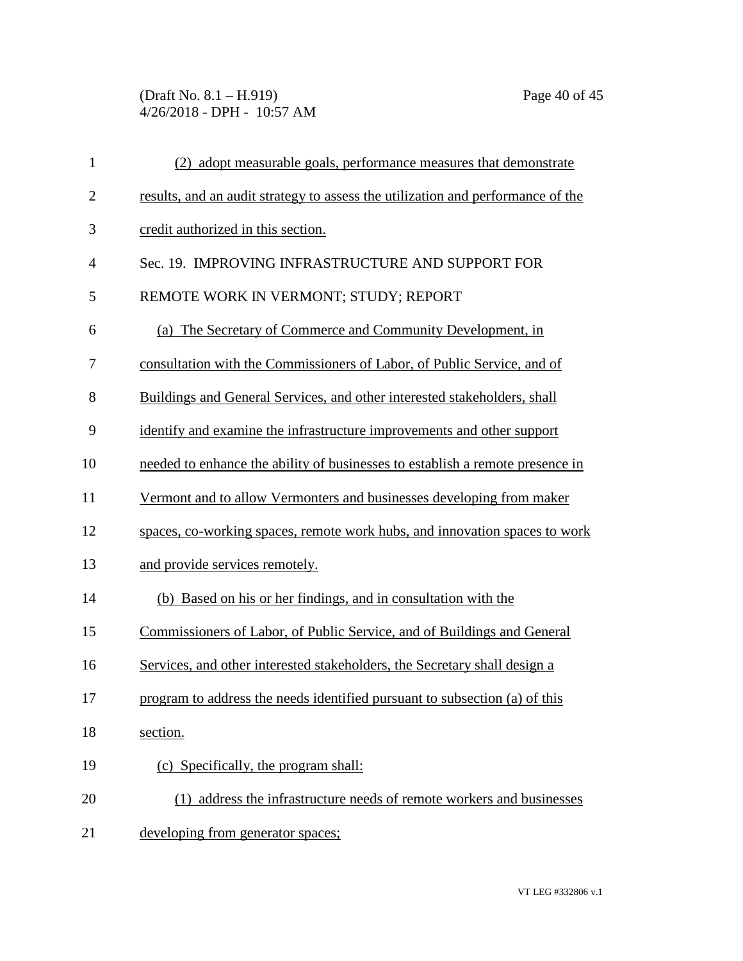(Draft No. 8.1 – H.919) Page 40 of 45 4/26/2018 - DPH - 10:57 AM

| $\mathbf{1}$   | (2) adopt measurable goals, performance measures that demonstrate               |
|----------------|---------------------------------------------------------------------------------|
| $\overline{c}$ | results, and an audit strategy to assess the utilization and performance of the |
| 3              | credit authorized in this section.                                              |
| $\overline{4}$ | Sec. 19. IMPROVING INFRASTRUCTURE AND SUPPORT FOR                               |
| 5              | REMOTE WORK IN VERMONT; STUDY; REPORT                                           |
| 6              | (a) The Secretary of Commerce and Community Development, in                     |
| 7              | consultation with the Commissioners of Labor, of Public Service, and of         |
| 8              | Buildings and General Services, and other interested stakeholders, shall        |
| 9              | identify and examine the infrastructure improvements and other support          |
| 10             | needed to enhance the ability of businesses to establish a remote presence in   |
| 11             | Vermont and to allow Vermonters and businesses developing from maker            |
| 12             | spaces, co-working spaces, remote work hubs, and innovation spaces to work      |
| 13             | and provide services remotely.                                                  |
| 14             | (b) Based on his or her findings, and in consultation with the                  |
| 15             | Commissioners of Labor, of Public Service, and of Buildings and General         |
| 16             | Services, and other interested stakeholders, the Secretary shall design a       |
| 17             | program to address the needs identified pursuant to subsection (a) of this      |
| 18             | section.                                                                        |
| 19             | (c) Specifically, the program shall:                                            |
| 20             | (1) address the infrastructure needs of remote workers and businesses           |
| 21             | developing from generator spaces;                                               |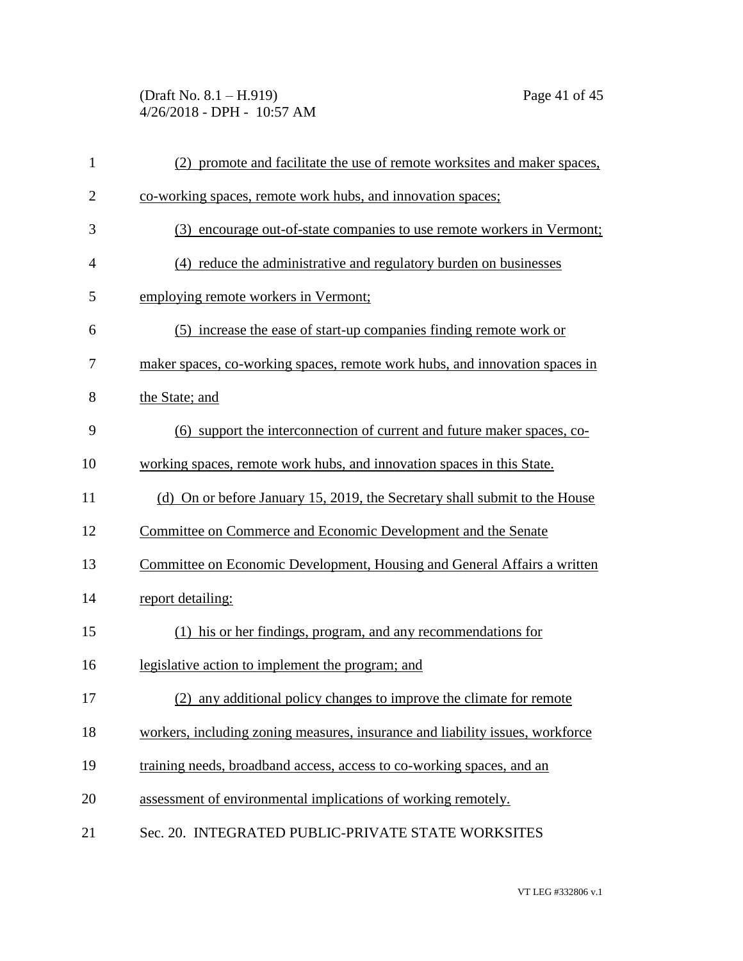(Draft No. 8.1 – H.919) Page 41 of 45 4/26/2018 - DPH - 10:57 AM

| $\mathbf{1}$   | (2) promote and facilitate the use of remote worksites and maker spaces,      |
|----------------|-------------------------------------------------------------------------------|
| $\overline{2}$ | co-working spaces, remote work hubs, and innovation spaces;                   |
| 3              | (3) encourage out-of-state companies to use remote workers in Vermont;        |
| $\overline{4}$ | (4) reduce the administrative and regulatory burden on businesses             |
| 5              | employing remote workers in Vermont;                                          |
| 6              | (5) increase the ease of start-up companies finding remote work or            |
| 7              | maker spaces, co-working spaces, remote work hubs, and innovation spaces in   |
| 8              | the State; and                                                                |
| 9              | (6) support the interconnection of current and future maker spaces, co-       |
| 10             | working spaces, remote work hubs, and innovation spaces in this State.        |
| 11             | (d) On or before January 15, 2019, the Secretary shall submit to the House    |
| 12             | Committee on Commerce and Economic Development and the Senate                 |
| 13             | Committee on Economic Development, Housing and General Affairs a written      |
| 14             | report detailing:                                                             |
| 15             | (1) his or her findings, program, and any recommendations for                 |
| 16             | legislative action to implement the program; and                              |
| 17             | (2) any additional policy changes to improve the climate for remote           |
| 18             | workers, including zoning measures, insurance and liability issues, workforce |
| 19             | training needs, broadband access, access to co-working spaces, and an         |
| 20             | assessment of environmental implications of working remotely.                 |
| 21             | Sec. 20. INTEGRATED PUBLIC-PRIVATE STATE WORKSITES                            |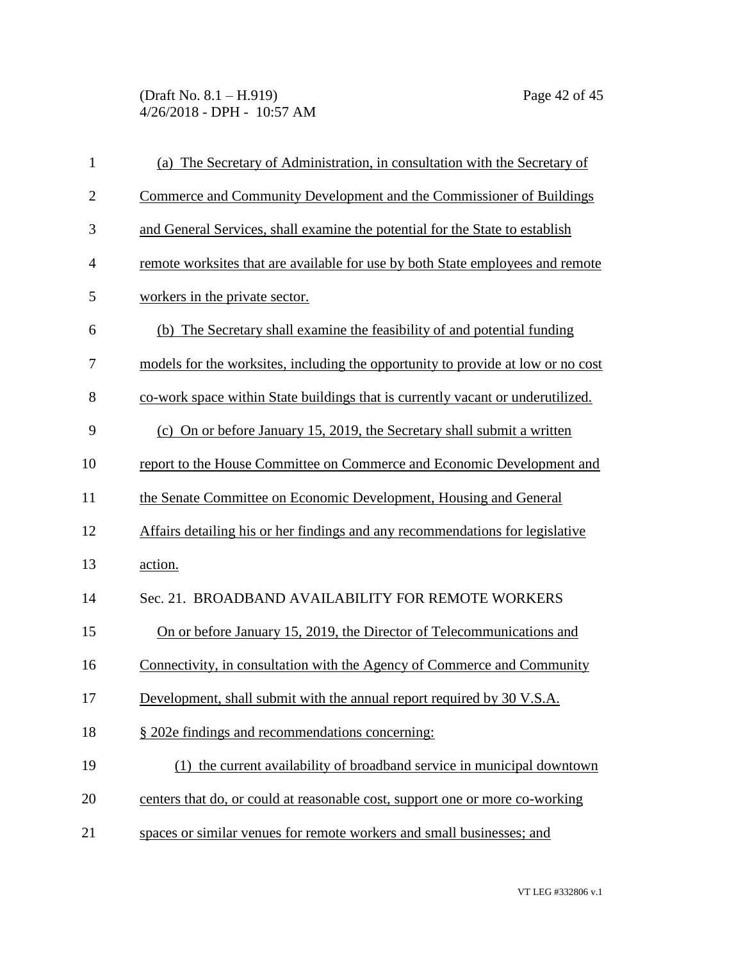(Draft No. 8.1 – H.919) Page 42 of 45 4/26/2018 - DPH - 10:57 AM

| $\mathbf{1}$   | (a) The Secretary of Administration, in consultation with the Secretary of       |
|----------------|----------------------------------------------------------------------------------|
| $\overline{2}$ | Commerce and Community Development and the Commissioner of Buildings             |
| 3              | and General Services, shall examine the potential for the State to establish     |
| $\overline{4}$ | remote worksites that are available for use by both State employees and remote   |
| 5              | workers in the private sector.                                                   |
| 6              | (b) The Secretary shall examine the feasibility of and potential funding         |
| 7              | models for the worksites, including the opportunity to provide at low or no cost |
| 8              | co-work space within State buildings that is currently vacant or underutilized.  |
| 9              | (c) On or before January 15, 2019, the Secretary shall submit a written          |
| 10             | report to the House Committee on Commerce and Economic Development and           |
| 11             | the Senate Committee on Economic Development, Housing and General                |
| 12             | Affairs detailing his or her findings and any recommendations for legislative    |
| 13             | action.                                                                          |
| 14             | Sec. 21. BROADBAND AVAILABILITY FOR REMOTE WORKERS                               |
| 15             | On or before January 15, 2019, the Director of Telecommunications and            |
| 16             | Connectivity, in consultation with the Agency of Commerce and Community          |
| 17             | Development, shall submit with the annual report required by 30 V.S.A.           |
| 18             | § 202e findings and recommendations concerning:                                  |
| 19             | (1) the current availability of broadband service in municipal downtown          |
| 20             | centers that do, or could at reasonable cost, support one or more co-working     |
| 21             | spaces or similar venues for remote workers and small businesses; and            |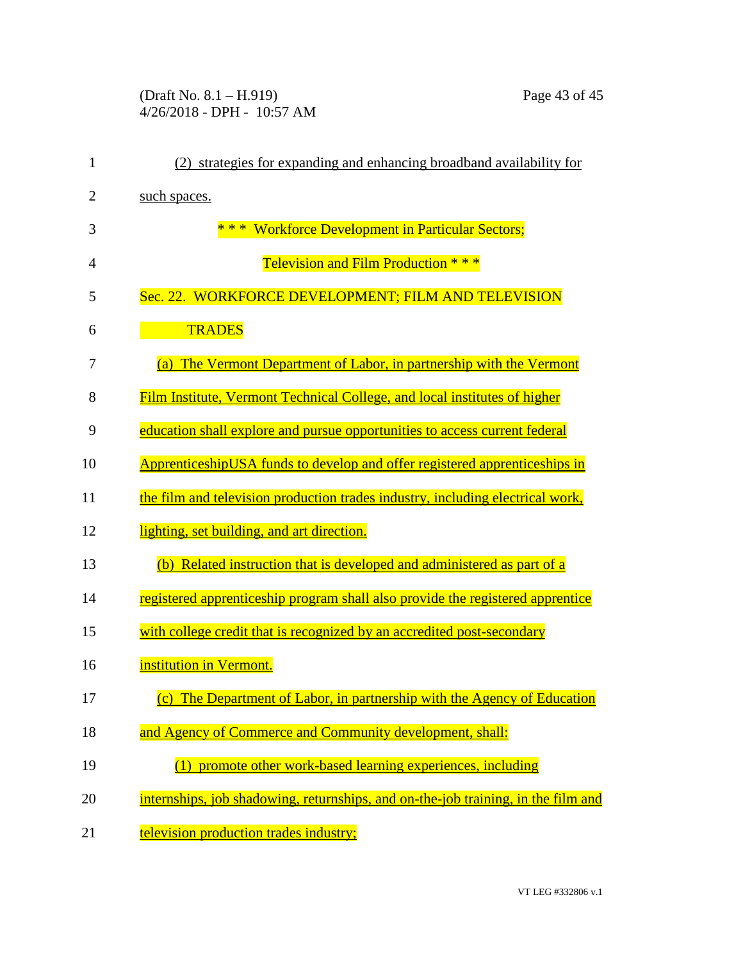(Draft No. 8.1 – H.919) Page 43 of 45 4/26/2018 - DPH - 10:57 AM

| $\mathbf{1}$   | (2) strategies for expanding and enhancing broadband availability for             |
|----------------|-----------------------------------------------------------------------------------|
| $\overline{2}$ | such spaces.                                                                      |
| 3              | * * * Workforce Development in Particular Sectors;                                |
| $\overline{4}$ | Television and Film Production * * *                                              |
| 5              | Sec. 22. WORKFORCE DEVELOPMENT; FILM AND TELEVISION                               |
| 6              | <b>TRADES</b>                                                                     |
| 7              | (a) The Vermont Department of Labor, in partnership with the Vermont              |
| 8              | Film Institute, Vermont Technical College, and local institutes of higher         |
| 9              | education shall explore and pursue opportunities to access current federal        |
| 10             | ApprenticeshipUSA funds to develop and offer registered apprenticeships in        |
| 11             | the film and television production trades industry, including electrical work,    |
| 12             | lighting, set building, and art direction.                                        |
| 13             | (b) Related instruction that is developed and administered as part of a           |
| 14             | registered apprenticeship program shall also provide the registered apprentice    |
| 15             | with college credit that is recognized by an accredited post-secondary            |
| 16             | institution in Vermont.                                                           |
| 17             | (c) The Department of Labor, in partnership with the Agency of Education          |
| 18             | and Agency of Commerce and Community development, shall:                          |
| 19             | (1) promote other work-based learning experiences, including                      |
| 20             | internships, job shadowing, returnships, and on-the-job training, in the film and |
| 21             | television production trades industry;                                            |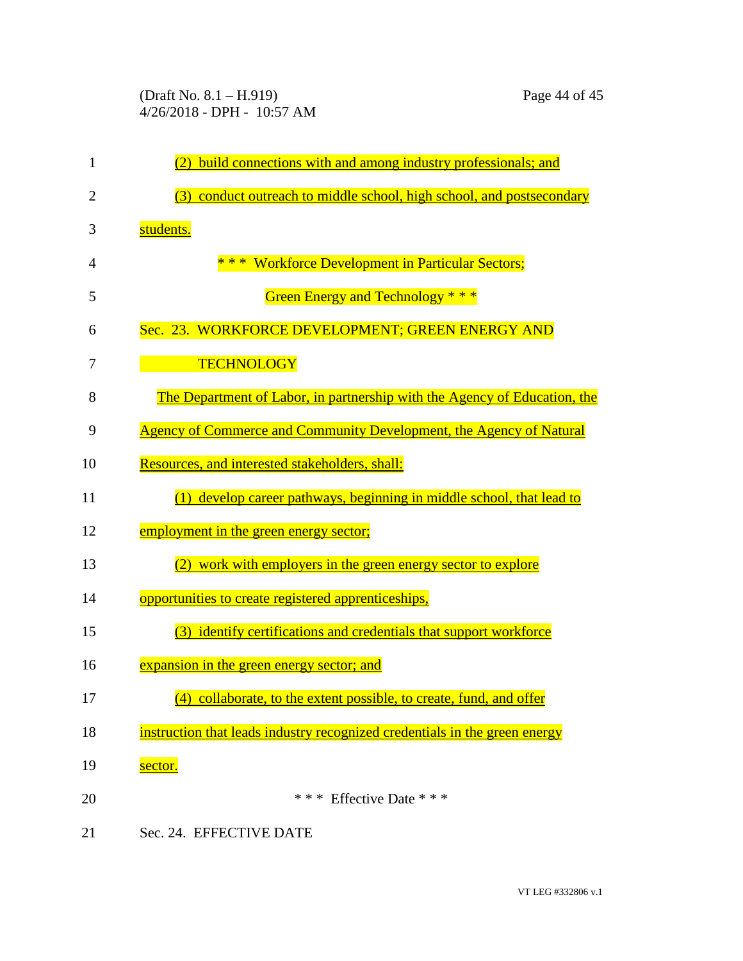| 1              | build connections with and among industry professionals; and               |
|----------------|----------------------------------------------------------------------------|
| $\overline{2}$ | conduct outreach to middle school, high school, and postsecondary<br>(3)   |
| 3              | students.                                                                  |
| 4              | * * * Workforce Development in Particular Sectors;                         |
| 5              | Green Energy and Technology * * *                                          |
| 6              | Sec. 23. WORKFORCE DEVELOPMENT; GREEN ENERGY AND                           |
| 7              | <b>TECHNOLOGY</b>                                                          |
| 8              | The Department of Labor, in partnership with the Agency of Education, the  |
| 9              | Agency of Commerce and Community Development, the Agency of Natural        |
| 10             | Resources, and interested stakeholders, shall:                             |
| 11             | develop career pathways, beginning in middle school, that lead to<br>(1)   |
| 12             | employment in the green energy sector;                                     |
| 13             | work with employers in the green energy sector to explore<br>(2)           |
| 14             | opportunities to create registered apprenticeships,                        |
| 15             | (3) identify certifications and credentials that support workforce         |
| 16             | expansion in the green energy sector; and                                  |
| 17             | (4) collaborate, to the extent possible, to create, fund, and offer        |
| 18             | instruction that leads industry recognized credentials in the green energy |
| 19             | sector.                                                                    |
| 20             | *** Effective Date ***                                                     |
| 21             | Sec. 24. EFFECTIVE DATE                                                    |